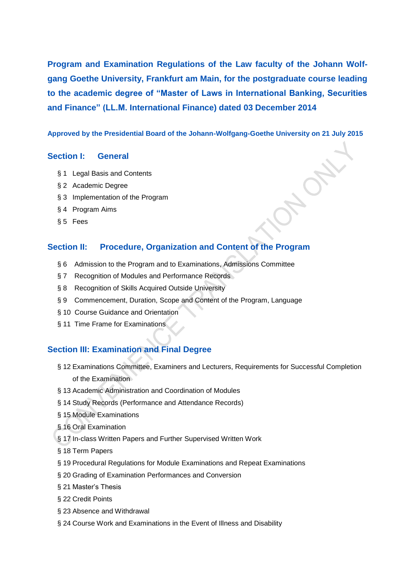**Program and Examination Regulations of the Law faculty of the Johann Wolfgang Goethe University, Frankfurt am Main, for the postgraduate course leading to the academic degree of "Master of Laws in International Banking, Securities and Finance" (LL.M. International Finance) dated 03 December 2014**

# **Approved by the Presidential Board of the Johann-Wolfgang-Goethe University on 21 July 2015**

# **Section I: General**

- § 1 Legal Basis and Contents
- § 2 Academic Degree
- § 3 Implementation of the Program
- § 4 Program Aims
- § 5 Fees

# **Section II: Procedure, Organization and Content of the Program**

- § 6 Admission to the Program and to Examinations, Admissions Committee
- § 7 Recognition of Modules and Performance Records
- § 8 Recognition of Skills Acquired Outside University
- § 9 Commencement, Duration, Scope and Content of the Program, Language
- § 10 Course Guidance and Orientation
- § 11 Time Frame for Examinations

# **Section III: Examination and Final Degree**

- § 12 Examinations Committee, Examiners and Lecturers, Requirements for Successful Completion of the Examination
- § 13 Academic Administration and Coordination of Modules
- § 14 Study Records (Performance and Attendance Records)
- § 15 Module Examinations
- § 16 Oral Examination
- § 17 In-class Written Papers and Further Supervised Written Work
- § 18 Term Papers
- § 19 Procedural Regulations for Module Examinations and Repeat Examinations
- § 20 Grading of Examination Performances and Conversion
- § 21 Master's Thesis
- § 22 Credit Points
- § 23 Absence and Withdrawal
- § 24 Course Work and Examinations in the Event of Illness and Disability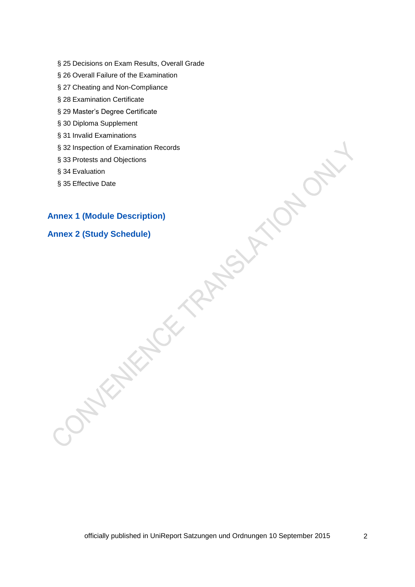- § 25 Decisions on Exam Results, Overall Grade
- § 26 Overall Failure of the Examination
- § 27 Cheating and Non-Compliance
- § 28 Examination Certificate
- § 29 Master's Degree Certificate
- § 30 Diploma Supplement
- § 31 Invalid Examinations
- § 32 Inspection of Examination Records
- § 33 Protests and Objections
- § 34 Evaluation
- § 35 Effective Date

# **Annex 1 (Module Description)**

# **Annex 2 (Study Schedule)**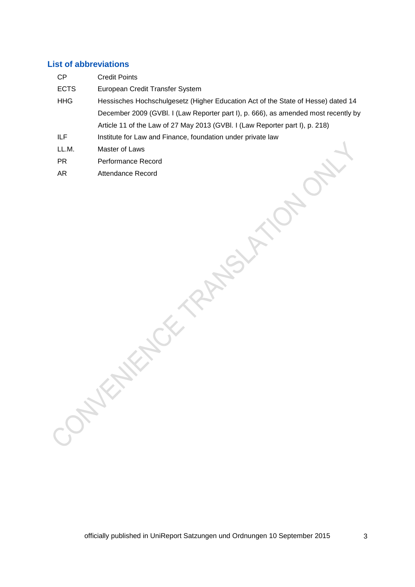# **List of abbreviations**

| CP          | <b>Credit Points</b>                                                               |  |
|-------------|------------------------------------------------------------------------------------|--|
| <b>ECTS</b> | European Credit Transfer System                                                    |  |
| <b>HHG</b>  | Hessisches Hochschulgesetz (Higher Education Act of the State of Hesse) dated 14   |  |
|             | December 2009 (GVBI. I (Law Reporter part I), p. 666), as amended most recently by |  |
|             | Article 11 of the Law of 27 May 2013 (GVBI. I (Law Reporter part I), p. 218)       |  |
| ILF.        | Institute for Law and Finance, foundation under private law                        |  |
| LL.M.       | Master of Laws                                                                     |  |

- PR **Performance Record**
- AR Attendance Record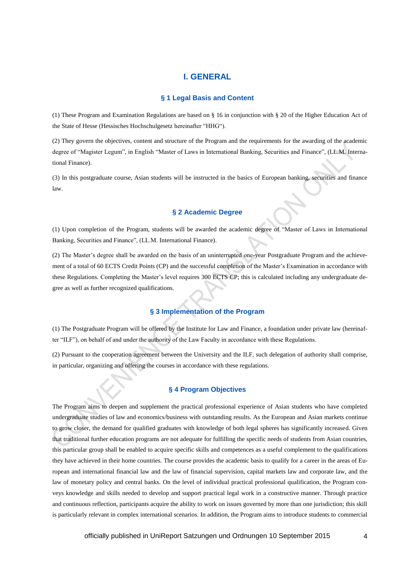# **I. GENERAL**

## **§ 1 Legal Basis and Content**

(1) These Program and Examination Regulations are based on § 16 in conjunction with § 20 of the Higher Education Act of the State of Hesse (Hessisches Hochschulgesetz hereinafter "HHG").

(2) They govern the objectives, content and structure of the Program and the requirements for the awarding of the academic degree of "Magister Legum", in English "Master of Laws in International Banking, Securities and Finance", (LL.M. International Finance).

(3) In this postgraduate course, Asian students will be instructed in the basics of European banking, securities and finance law.

# **§ 2 Academic Degree**

(1) Upon completion of the Program, students will be awarded the academic degree of "Master of Laws in International Banking, Securities and Finance", (LL.M. International Finance).

(2) The Master's degree shall be awarded on the basis of an uninterrupted one-year Postgraduate Program and the achievement of a total of 60 ECTS Credit Points (CP) and the successful completion of the Master's Examination in accordance with these Regulations. Completing the Master's level requires 300 ECTS CP; this is calculated including any undergraduate degree as well as further recognized qualifications.

# **§ 3 Implementation of the Program**

(1) The Postgraduate Program will be offered by the Institute for Law and Finance, a foundation under private law (hereinafter "ILF"), on behalf of and under the authority of the Law Faculty in accordance with these Regulations.

(2) Pursuant to the cooperation agreement between the University and the ILF, such delegation of authority shall comprise, in particular, organizing and offering the courses in accordance with these regulations.

# **§ 4 Program Objectives**

The Program aims to deepen and supplement the practical professional experience of Asian students who have completed undergraduate studies of law and economics/business with outstanding results. As the European and Asian markets continue to grow closer, the demand for qualified graduates with knowledge of both legal spheres has significantly increased. Given that traditional further education programs are not adequate for fulfilling the specific needs of students from Asian countries, this particular group shall be enabled to acquire specific skills and competences as a useful complement to the qualifications they have achieved in their home countries. The course provides the academic basis to qualify for a career in the areas of European and international financial law and the law of financial supervision, capital markets law and corporate law, and the law of monetary policy and central banks. On the level of individual practical professional qualification, the Program conveys knowledge and skills needed to develop and support practical legal work in a constructive manner. Through practice and continuous reflection, participants acquire the ability to work on issues governed by more than one jurisdiction; this skill is particularly relevant in complex international scenarios. In addition, the Program aims to introduce students to commercial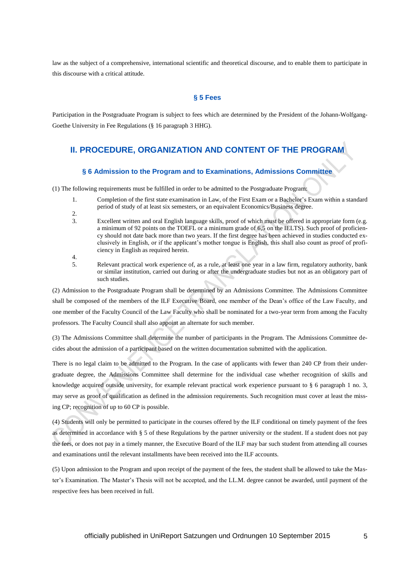law as the subject of a comprehensive, international scientific and theoretical discourse, and to enable them to participate in this discourse with a critical attitude.

# **§ 5 Fees**

Participation in the Postgraduate Program is subject to fees which are determined by the President of the Johann-Wolfgang-Goethe University in Fee Regulations (§ 16 paragraph 3 HHG).

# **II. PROCEDURE, ORGANIZATION AND CONTENT OF THE PROGRAM**

# **§ 6 Admission to the Program and to Examinations, Admissions Committee**

(1) The following requirements must be fulfilled in order to be admitted to the Postgraduate Program:

- 1. Completion of the first state examination in Law, of the First Exam or a Bachelor's Exam within a standard period of study of at least six semesters, or an equivalent Economics/Business degree.
- 2.
- 3. Excellent written and oral English language skills, proof of which must be offered in appropriate form (e.g. a minimum of 92 points on the TOEFL or a minimum grade of 6,5 on the IELTS). Such proof of proficiency should not date back more than two years. If the first degree has been achieved in studies conducted exclusively in English, or if the applicant's mother tongue is English, this shall also count as proof of proficiency in English as required herein. 4.
- 5. Relevant practical work experience of, as a rule, at least one year in a law firm, regulatory authority, bank or similar institution, carried out during or after the undergraduate studies but not as an obligatory part of such studies.

(2) Admission to the Postgraduate Program shall be determined by an Admissions Committee. The Admissions Committee shall be composed of the members of the ILF Executive Board, one member of the Dean's office of the Law Faculty, and one member of the Faculty Council of the Law Faculty who shall be nominated for a two-year term from among the Faculty professors. The Faculty Council shall also appoint an alternate for such member.

(3) The Admissions Committee shall determine the number of participants in the Program. The Admissions Committee decides about the admission of a participant based on the written documentation submitted with the application.

There is no legal claim to be admitted to the Program. In the case of applicants with fewer than 240 CP from their undergraduate degree, the Admissions Committee shall determine for the individual case whether recognition of skills and knowledge acquired outside university, for example relevant practical work experience pursuant to § 6 paragraph 1 no. 3, may serve as proof of qualification as defined in the admission requirements. Such recognition must cover at least the missing CP; recognition of up to 60 CP is possible.

(4) Students will only be permitted to participate in the courses offered by the ILF conditional on timely payment of the fees as determined in accordance with § 5 of these Regulations by the partner university or the student. If a student does not pay the fees, or does not pay in a timely manner, the Executive Board of the ILF may bar such student from attending all courses and examinations until the relevant installments have been received into the ILF accounts.

(5) Upon admission to the Program and upon receipt of the payment of the fees, the student shall be allowed to take the Master's Examination. The Master's Thesis will not be accepted, and the LL.M. degree cannot be awarded, until payment of the respective fees has been received in full.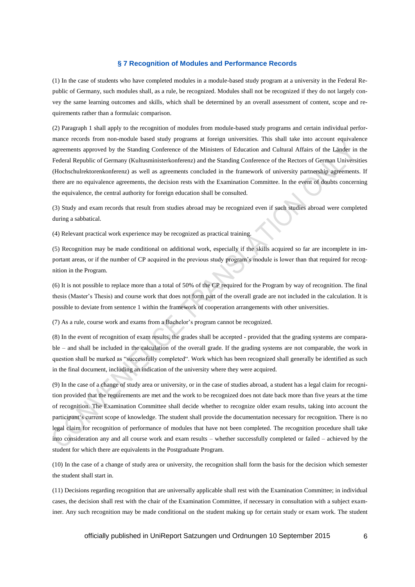## **§ 7 Recognition of Modules and Performance Records**

(1) In the case of students who have completed modules in a module-based study program at a university in the Federal Republic of Germany, such modules shall, as a rule, be recognized. Modules shall not be recognized if they do not largely convey the same learning outcomes and skills, which shall be determined by an overall assessment of content, scope and requirements rather than a formulaic comparison.

(2) Paragraph 1 shall apply to the recognition of modules from module-based study programs and certain individual performance records from non-module based study programs at foreign universities. This shall take into account equivalence agreements approved by the Standing Conference of the Ministers of Education and Cultural Affairs of the Länder in the Federal Republic of Germany (Kultusministerkonferenz) and the Standing Conference of the Rectors of German Universities (Hochschulrektorenkonferenz) as well as agreements concluded in the framework of university partnership agreements. If there are no equivalence agreements, the decision rests with the Examination Committee. In the event of doubts concerning the equivalence, the central authority for foreign education shall be consulted.

(3) Study and exam records that result from studies abroad may be recognized even if such studies abroad were completed during a sabbatical.

(4) Relevant practical work experience may be recognized as practical training.

(5) Recognition may be made conditional on additional work, especially if the skills acquired so far are incomplete in important areas, or if the number of CP acquired in the previous study program's module is lower than that required for recognition in the Program.

(6) It is not possible to replace more than a total of 50% of the CP required for the Program by way of recognition. The final thesis (Master's Thesis) and course work that does not form part of the overall grade are not included in the calculation. It is possible to deviate from sentence 1 within the framework of cooperation arrangements with other universities.

(7) As a rule, course work and exams from a Bachelor's program cannot be recognized.

(8) In the event of recognition of exam results, the grades shall be accepted - provided that the grading systems are comparable – and shall be included in the calculation of the overall grade. If the grading systems are not comparable, the work in question shall be marked as "successfully completed". Work which has been recognized shall generally be identified as such in the final document, including an indication of the university where they were acquired.

(9) In the case of a change of study area or university, or in the case of studies abroad, a student has a legal claim for recognition provided that the requirements are met and the work to be recognized does not date back more than five years at the time of recognition. The Examination Committee shall decide whether to recognize older exam results, taking into account the participant's current scope of knowledge. The student shall provide the documentation necessary for recognition. There is no legal claim for recognition of performance of modules that have not been completed. The recognition procedure shall take into consideration any and all course work and exam results – whether successfully completed or failed – achieved by the student for which there are equivalents in the Postgraduate Program.

(10) In the case of a change of study area or university, the recognition shall form the basis for the decision which semester the student shall start in.

(11) Decisions regarding recognition that are universally applicable shall rest with the Examination Committee; in individual cases, the decision shall rest with the chair of the Examination Committee, if necessary in consultation with a subject examiner. Any such recognition may be made conditional on the student making up for certain study or exam work. The student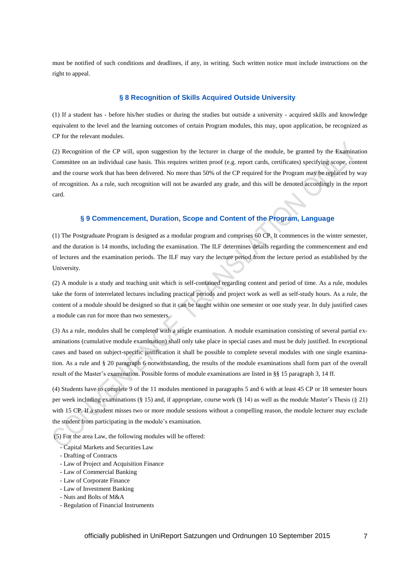must be notified of such conditions and deadlines, if any, in writing. Such written notice must include instructions on the right to appeal.

# **§ 8 Recognition of Skills Acquired Outside University**

(1) If a student has - before his/her studies or during the studies but outside a university - acquired skills and knowledge equivalent to the level and the learning outcomes of certain Program modules, this may, upon application, be recognized as CP for the relevant modules.

(2) Recognition of the CP will, upon suggestion by the lecturer in charge of the module, be granted by the Examination Committee on an individual case basis. This requires written proof (e.g. report cards, certificates) specifying scope, content and the course work that has been delivered. No more than 50% of the CP required for the Program may be replaced by way of recognition. As a rule, such recognition will not be awarded any grade, and this will be denoted accordingly in the report card.

# **§ 9 Commencement, Duration, Scope and Content of the Program, Language**

(1) The Postgraduate Program is designed as a modular program and comprises 60 CP. It commences in the winter semester, and the duration is 14 months, including the examination. The ILF determines details regarding the commencement and end of lectures and the examination periods. The ILF may vary the lecture period from the lecture period as established by the University.

(2) A module is a study and teaching unit which is self-contained regarding content and period of time. As a rule, modules take the form of interrelated lectures including practical periods and project work as well as self-study hours. As a rule, the content of a module should be designed so that it can be taught within one semester or one study year. In duly justified cases a module can run for more than two semesters.

(3) As a rule, modules shall be completed with a single examination. A module examination consisting of several partial examinations (cumulative module examination) shall only take place in special cases and must be duly justified. In exceptional cases and based on subject-specific justification it shall be possible to complete several modules with one single examination. As a rule and § 20 paragraph 6 notwithstanding, the results of the module examinations shall form part of the overall result of the Master's examination. Possible forms of module examinations are listed in §§ 15 paragraph 3, 14 ff.

(4) Students have to complete 9 of the 11 modules mentioned in paragraphs 5 and 6 with at least 45 CP or 18 semester hours per week including examinations (§ 15) and, if appropriate, course work (§ 14) as well as the module Master's Thesis (§ 21) with 15 CP. If a student misses two or more module sessions without a compelling reason, the module lecturer may exclude the student from participating in the module's examination.

(5) For the area Law, the following modules will be offered:

- Capital Markets and Securities Law
- Drafting of Contracts
- Law of Project and Acquisition Finance
- Law of Commercial Banking
- Law of Corporate Finance
- Law of Investment Banking
- Nuts and Bolts of M&A
- Regulation of Financial Instruments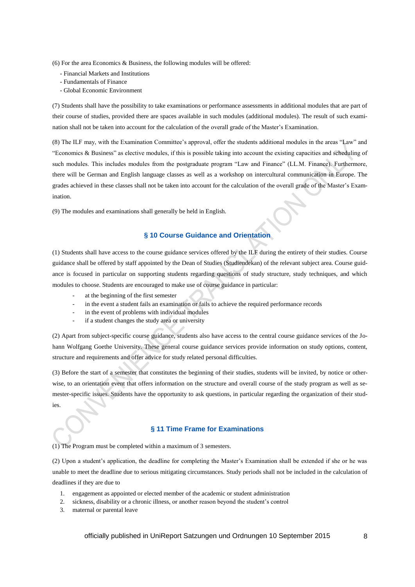(6) For the area Economics & Business, the following modules will be offered:

- Financial Markets and Institutions
- Fundamentals of Finance
- Global Economic Environment

(7) Students shall have the possibility to take examinations or performance assessments in additional modules that are part of their course of studies, provided there are spaces available in such modules (additional modules). The result of such examination shall not be taken into account for the calculation of the overall grade of the Master's Examination.

(8) The ILF may, with the Examination Committee's approval, offer the students additional modules in the areas "Law" and "Economics & Business" as elective modules, if this is possible taking into account the existing capacities and scheduling of such modules. This includes modules from the postgraduate program "Law and Finance" (LL.M. Finance). Furthermore, there will be German and English language classes as well as a workshop on intercultural communication in Europe. The grades achieved in these classes shall not be taken into account for the calculation of the overall grade of the Master's Examination.

(9) The modules and examinations shall generally be held in English.

# **§ 10 Course Guidance and Orientation**

(1) Students shall have access to the course guidance services offered by the ILF during the entirety of their studies. Course guidance shall be offered by staff appointed by the Dean of Studies (Studiendekan) of the relevant subject area. Course guidance is focused in particular on supporting students regarding questions of study structure, study techniques, and which modules to choose. Students are encouraged to make use of course guidance in particular:

- at the beginning of the first semester
- in the event a student fails an examination or fails to achieve the required performance records
- in the event of problems with individual modules
- if a student changes the study area or university

(2) Apart from subject-specific course guidance, students also have access to the central course guidance services of the Johann Wolfgang Goethe University. These general course guidance services provide information on study options, content, structure and requirements and offer advice for study related personal difficulties.

(3) Before the start of a semester that constitutes the beginning of their studies, students will be invited, by notice or otherwise, to an orientation event that offers information on the structure and overall course of the study program as well as semester-specific issues. Students have the opportunity to ask questions, in particular regarding the organization of their studies.

## **§ 11 Time Frame for Examinations**

(1) The Program must be completed within a maximum of 3 semesters.

(2) Upon a student's application, the deadline for completing the Master's Examination shall be extended if she or he was unable to meet the deadline due to serious mitigating circumstances. Study periods shall not be included in the calculation of deadlines if they are due to

- 1. engagement as appointed or elected member of the academic or student administration
- 2. sickness, disability or a chronic illness, or another reason beyond the student's control
- 3. maternal or parental leave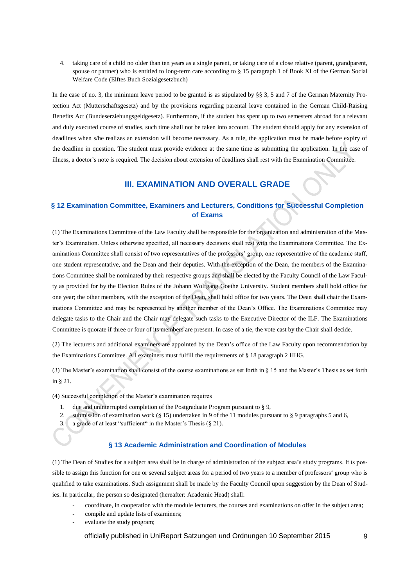4. taking care of a child no older than ten years as a single parent, or taking care of a close relative (parent, grandparent, spouse or partner) who is entitled to long-term care according to § 15 paragraph 1 of Book XI of the German Social Welfare Code (Elftes Buch Sozialgesetzbuch)

In the case of no. 3, the minimum leave period to be granted is as stipulated by §§ 3, 5 and 7 of the German Maternity Protection Act (Mutterschaftsgesetz) and by the provisions regarding parental leave contained in the German Child-Raising Benefits Act (Bundeserziehungsgeldgesetz). Furthermore, if the student has spent up to two semesters abroad for a relevant and duly executed course of studies, such time shall not be taken into account. The student should apply for any extension of deadlines when s/he realizes an extension will become necessary. As a rule, the application must be made before expiry of the deadline in question. The student must provide evidence at the same time as submitting the application. In the case of illness, a doctor's note is required. The decision about extension of deadlines shall rest with the Examination Committee.

# **III. EXAMINATION AND OVERALL GRADE**

# **§ 12 Examination Committee, Examiners and Lecturers, Conditions for Successful Completion of Exams**

(1) The Examinations Committee of the Law Faculty shall be responsible for the organization and administration of the Master's Examination. Unless otherwise specified, all necessary decisions shall rest with the Examinations Committee. The Examinations Committee shall consist of two representatives of the professors' group, one representative of the academic staff, one student representative, and the Dean and their deputies. With the exception of the Dean, the members of the Examinations Committee shall be nominated by their respective groups and shall be elected by the Faculty Council of the Law Faculty as provided for by the Election Rules of the Johann Wolfgang Goethe University. Student members shall hold office for one year; the other members, with the exception of the Dean, shall hold office for two years. The Dean shall chair the Examinations Committee and may be represented by another member of the Dean's Office. The Examinations Committee may delegate tasks to the Chair and the Chair may delegate such tasks to the Executive Director of the ILF. The Examinations Committee is quorate if three or four of its members are present. In case of a tie, the vote cast by the Chair shall decide.

(2) The lecturers and additional examiners are appointed by the Dean's office of the Law Faculty upon recommendation by the Examinations Committee. All examiners must fulfill the requirements of § 18 paragraph 2 HHG.

(3) The Master's examination shall consist of the course examinations as set forth in § 15 and the Master's Thesis as set forth in § 21.

(4) Successful completion of the Master's examination requires

- 1. due and uninterrupted completion of the Postgraduate Program pursuant to § 9,
- 2. submission of examination work (§ 15) undertaken in 9 of the 11 modules pursuant to § 9 paragraphs 5 and 6,
- 3. a grade of at least "sufficient" in the Master's Thesis  $(\S 21)$ .

# **§ 13 Academic Administration and Coordination of Modules**

(1) The Dean of Studies for a subject area shall be in charge of administration of the subject area's study programs. It is possible to assign this function for one or several subject areas for a period of two years to a member of professors' group who is qualified to take examinations. Such assignment shall be made by the Faculty Council upon suggestion by the Dean of Studies. In particular, the person so designated (hereafter: Academic Head) shall:

- coordinate, in cooperation with the module lecturers, the courses and examinations on offer in the subject area;
- compile and update lists of examiners;
- evaluate the study program;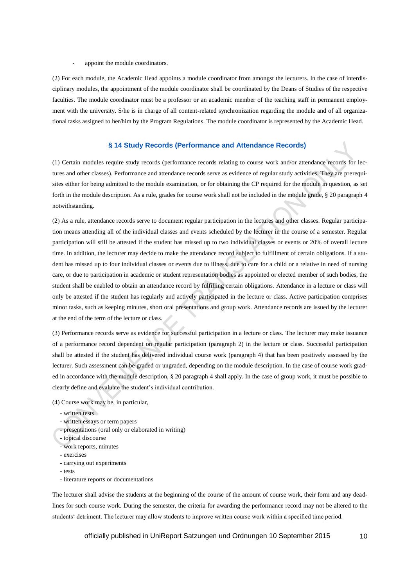## appoint the module coordinators.

(2) For each module, the Academic Head appoints a module coordinator from amongst the lecturers. In the case of interdisciplinary modules, the appointment of the module coordinator shall be coordinated by the Deans of Studies of the respective faculties. The module coordinator must be a professor or an academic member of the teaching staff in permanent employment with the university. S/he is in charge of all content-related synchronization regarding the module and of all organizational tasks assigned to her/him by the Program Regulations. The module coordinator is represented by the Academic Head.

## **§ 14 Study Records (Performance and Attendance Records)**

(1) Certain modules require study records (performance records relating to course work and/or attendance records for lectures and other classes). Performance and attendance records serve as evidence of regular study activities. They are prerequisites either for being admitted to the module examination, or for obtaining the CP required for the module in question, as set forth in the module description. As a rule, grades for course work shall not be included in the module grade, § 20 paragraph 4 notwithstanding.

(2) As a rule, attendance records serve to document regular participation in the lectures and other classes. Regular participation means attending all of the individual classes and events scheduled by the lecturer in the course of a semester. Regular participation will still be attested if the student has missed up to two individual classes or events or 20% of overall lecture time. In addition, the lecturer may decide to make the attendance record subject to fulfillment of certain obligations. If a student has missed up to four individual classes or events due to illness, due to care for a child or a relative in need of nursing care, or due to participation in academic or student representation bodies as appointed or elected member of such bodies, the student shall be enabled to obtain an attendance record by fulfilling certain obligations. Attendance in a lecture or class will only be attested if the student has regularly and actively participated in the lecture or class. Active participation comprises minor tasks, such as keeping minutes, short oral presentations and group work. Attendance records are issued by the lecturer at the end of the term of the lecture or class.

(3) Performance records serve as evidence for successful participation in a lecture or class. The lecturer may make issuance of a performance record dependent on regular participation (paragraph 2) in the lecture or class. Successful participation shall be attested if the student has delivered individual course work (paragraph 4) that has been positively assessed by the lecturer. Such assessment can be graded or ungraded, depending on the module description. In the case of course work graded in accordance with the module description, § 20 paragraph 4 shall apply. In the case of group work, it must be possible to clearly define and evaluate the student's individual contribution.

## (4) Course work may be, in particular,

- written tests
- written essays or term papers
- presentations (oral only or elaborated in writing)
- topical discourse
- work reports, minutes
- exercises
- carrying out experiments
- tests
- literature reports or documentations

The lecturer shall advise the students at the beginning of the course of the amount of course work, their form and any deadlines for such course work. During the semester, the criteria for awarding the performance record may not be altered to the students' detriment. The lecturer may allow students to improve written course work within a specified time period.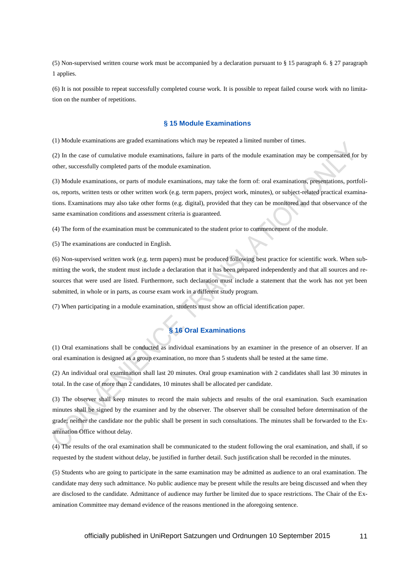(5) Non-supervised written course work must be accompanied by a declaration pursuant to § 15 paragraph 6. § 27 paragraph 1 applies.

(6) It is not possible to repeat successfully completed course work. It is possible to repeat failed course work with no limitation on the number of repetitions.

## **§ 15 Module Examinations**

(1) Module examinations are graded examinations which may be repeated a limited number of times.

(2) In the case of cumulative module examinations, failure in parts of the module examination may be compensated for by other, successfully completed parts of the module examination.

(3) Module examinations, or parts of module examinations, may take the form of: oral examinations, presentations, portfolios, reports, written tests or other written work (e.g. term papers, project work, minutes), or subject-related practical examinations. Examinations may also take other forms (e.g. digital), provided that they can be monitored and that observance of the same examination conditions and assessment criteria is guaranteed.

(4) The form of the examination must be communicated to the student prior to commencement of the module.

(5) The examinations are conducted in English.

(6) Non-supervised written work (e.g. term papers) must be produced following best practice for scientific work. When submitting the work, the student must include a declaration that it has been prepared independently and that all sources and resources that were used are listed. Furthermore, such declaration must include a statement that the work has not yet been submitted, in whole or in parts, as course exam work in a different study program.

(7) When participating in a module examination, students must show an official identification paper.

# **§ 16 Oral Examinations**

(1) Oral examinations shall be conducted as individual examinations by an examiner in the presence of an observer. If an oral examination is designed as a group examination, no more than 5 students shall be tested at the same time.

(2) An individual oral examination shall last 20 minutes. Oral group examination with 2 candidates shall last 30 minutes in total. In the case of more than 2 candidates, 10 minutes shall be allocated per candidate.

(3) The observer shall keep minutes to record the main subjects and results of the oral examination. Such examination minutes shall be signed by the examiner and by the observer. The observer shall be consulted before determination of the grade; neither the candidate nor the public shall be present in such consultations. The minutes shall be forwarded to the Examination Office without delay.

(4) The results of the oral examination shall be communicated to the student following the oral examination, and shall, if so requested by the student without delay, be justified in further detail. Such justification shall be recorded in the minutes.

(5) Students who are going to participate in the same examination may be admitted as audience to an oral examination. The candidate may deny such admittance. No public audience may be present while the results are being discussed and when they are disclosed to the candidate. Admittance of audience may further be limited due to space restrictions. The Chair of the Examination Committee may demand evidence of the reasons mentioned in the aforegoing sentence.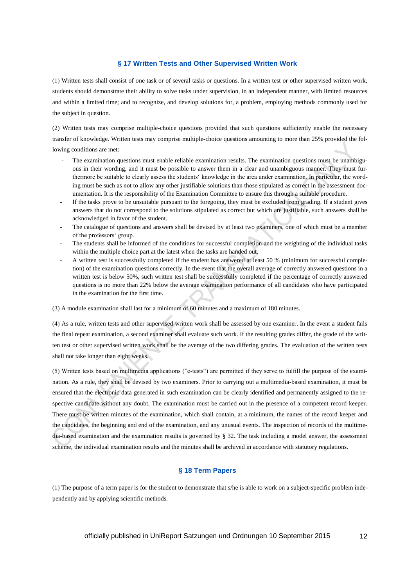## **§ 17 Written Tests and Other Supervised Written Work**

(1) Written tests shall consist of one task or of several tasks or questions. In a written test or other supervised written work, students should demonstrate their ability to solve tasks under supervision, in an independent manner, with limited resources and within a limited time; and to recognize, and develop solutions for, a problem, employing methods commonly used for the subject in question.

(2) Written tests may comprise multiple-choice questions provided that such questions sufficiently enable the necessary transfer of knowledge. Written tests may comprise multiple-choice questions amounting to more than 25% provided the following conditions are met:

- The examination questions must enable reliable examination results. The examination questions must be unambiguous in their wording, and it must be possible to answer them in a clear and unambiguous manner. They must furthermore be suitable to clearly assess the students' knowledge in the area under examination. In particular, the wording must be such as not to allow any other justifiable solutions than those stipulated as correct in the assessment documentation. It is the responsibility of the Examination Committee to ensure this through a suitable procedure.
- If the tasks prove to be unsuitable pursuant to the foregoing, they must be excluded from grading. If a student gives answers that do not correspond to the solutions stipulated as correct but which are justifiable, such answers shall be acknowledged in favor of the student.
- The catalogue of questions and answers shall be devised by at least two examiners, one of which must be a member of the professors' group.
- The students shall be informed of the conditions for successful completion and the weighting of the individual tasks within the multiple choice part at the latest when the tasks are handed out.
- A written test is successfully completed if the student has answered at least 50 % (minimum for successful completion) of the examination questions correctly. In the event that the overall average of correctly answered questions in a written test is below 50%, such written test shall be successfully completed if the percentage of correctly answered questions is no more than 22% below the average examination performance of all candidates who have participated in the examination for the first time.

(3) A module examination shall last for a minimum of 60 minutes and a maximum of 180 minutes.

(4) As a rule, written tests and other supervised written work shall be assessed by one examiner. In the event a student fails the final repeat examination, a second examiner shall evaluate such work. If the resulting grades differ, the grade of the written test or other supervised written work shall be the average of the two differing grades. The evaluation of the written tests shall not take longer than eight weeks.

(5) Written tests based on multimedia applications ("e-tests") are permitted if they serve to fulfill the purpose of the examination. As a rule, they shall be devised by two examiners. Prior to carrying out a multimedia-based examination, it must be ensured that the electronic data generated in such examination can be clearly identified and permanently assigned to the respective candidate without any doubt. The examination must be carried out in the presence of a competent record keeper. There must be written minutes of the examination, which shall contain, at a minimum, the names of the record keeper and the candidates, the beginning and end of the examination, and any unusual events. The inspection of records of the multimedia-based examination and the examination results is governed by § 32. The task including a model answer, the assessment scheme, the individual examination results and the minutes shall be archived in accordance with statutory regulations.

# **§ 18 Term Papers**

(1) The purpose of a term paper is for the student to demonstrate that s/he is able to work on a subject-specific problem independently and by applying scientific methods.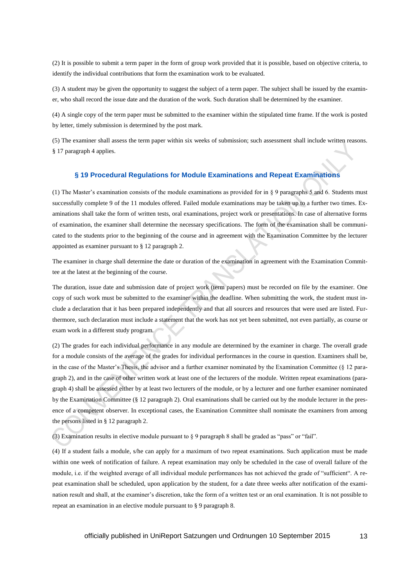(2) It is possible to submit a term paper in the form of group work provided that it is possible, based on objective criteria, to identify the individual contributions that form the examination work to be evaluated.

(3) A student may be given the opportunity to suggest the subject of a term paper. The subject shall be issued by the examiner, who shall record the issue date and the duration of the work. Such duration shall be determined by the examiner.

(4) A single copy of the term paper must be submitted to the examiner within the stipulated time frame. If the work is posted by letter, timely submission is determined by the post mark.

(5) The examiner shall assess the term paper within six weeks of submission; such assessment shall include written reasons. § 17 paragraph 4 applies.

## **§ 19 Procedural Regulations for Module Examinations and Repeat Examinations**

(1) The Master's examination consists of the module examinations as provided for in § 9 paragraphs 5 and 6. Students must successfully complete 9 of the 11 modules offered. Failed module examinations may be taken up to a further two times. Examinations shall take the form of written tests, oral examinations, project work or presentations. In case of alternative forms of examination, the examiner shall determine the necessary specifications. The form of the examination shall be communicated to the students prior to the beginning of the course and in agreement with the Examination Committee by the lecturer appointed as examiner pursuant to § 12 paragraph 2.

The examiner in charge shall determine the date or duration of the examination in agreement with the Examination Committee at the latest at the beginning of the course.

The duration, issue date and submission date of project work (term papers) must be recorded on file by the examiner. One copy of such work must be submitted to the examiner within the deadline. When submitting the work, the student must include a declaration that it has been prepared independently and that all sources and resources that were used are listed. Furthermore, such declaration must include a statement that the work has not yet been submitted, not even partially, as course or exam work in a different study program.

(2) The grades for each individual performance in any module are determined by the examiner in charge. The overall grade for a module consists of the average of the grades for individual performances in the course in question. Examiners shall be, in the case of the Master's Thesis, the advisor and a further examiner nominated by the Examination Committee  $(\S$  12 paragraph 2), and in the case of other written work at least one of the lecturers of the module. Written repeat examinations (paragraph 4) shall be assessed either by at least two lecturers of the module, or by a lecturer and one further examiner nominated by the Examination Committee (§ 12 paragraph 2). Oral examinations shall be carried out by the module lecturer in the presence of a competent observer. In exceptional cases, the Examination Committee shall nominate the examiners from among the persons listed in § 12 paragraph 2.

(3) Examination results in elective module pursuant to § 9 paragraph 8 shall be graded as "pass" or "fail".

(4) If a student fails a module, s/he can apply for a maximum of two repeat examinations. Such application must be made within one week of notification of failure. A repeat examination may only be scheduled in the case of overall failure of the module, i.e. if the weighted average of all individual module performances has not achieved the grade of "sufficient". A repeat examination shall be scheduled, upon application by the student, for a date three weeks after notification of the examination result and shall, at the examiner's discretion, take the form of a written test or an oral examination. It is not possible to repeat an examination in an elective module pursuant to § 9 paragraph 8.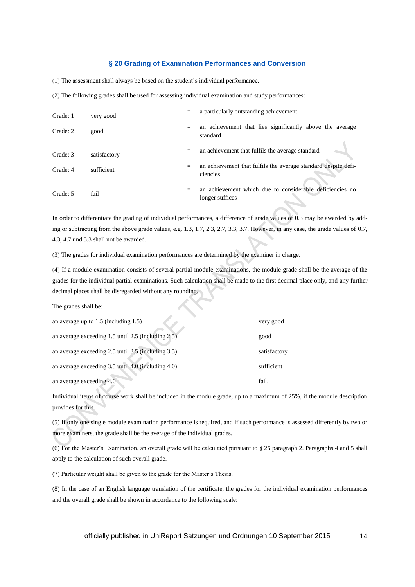## **§ 20 Grading of Examination Performances and Conversion**

(1) The assessment shall always be based on the student's individual performance.

(2) The following grades shall be used for assessing individual examination and study performances:

| Grade: 1 | very good    |     | a particularly outstanding achievement                                      |
|----------|--------------|-----|-----------------------------------------------------------------------------|
| Grade: 2 | good         | $=$ | an achievement that lies significantly above the average<br>standard        |
| Grade: 3 | satisfactory | $=$ | an achievement that fulfils the average standard                            |
| Grade: 4 | sufficient   | $=$ | an achievement that fulfils the average standard despite defi-<br>ciencies  |
| Grade: 5 | fail         | $=$ | an achievement which due to considerable deficiencies no<br>longer suffices |

In order to differentiate the grading of individual performances, a difference of grade values of 0.3 may be awarded by adding or subtracting from the above grade values, e.g. 1.3, 1.7, 2.3, 2.7, 3.3, 3.7. However, in any case, the grade values of 0.7, 4.3, 4.7 und 5.3 shall not be awarded.

(3) The grades for individual examination performances are determined by the examiner in charge.

(4) If a module examination consists of several partial module examinations, the module grade shall be the average of the grades for the individual partial examinations. Such calculation shall be made to the first decimal place only, and any further decimal places shall be disregarded without any rounding.

The grades shall be:

| an average up to $1.5$ (including $1.5$ )                 | very good    |
|-----------------------------------------------------------|--------------|
| an average exceeding $1.5$ until $2.5$ (including $2.5$ ) | good         |
| an average exceeding $2.5$ until $3.5$ (including $3.5$ ) | satisfactory |
| an average exceeding 3.5 until 4.0 (including 4.0)        | sufficient   |
| an average exceeding 4.0                                  | fail         |

Individual items of course work shall be included in the module grade, up to a maximum of 25%, if the module description provides for this.

(5) If only one single module examination performance is required, and if such performance is assessed differently by two or more examiners, the grade shall be the average of the individual grades.

(6) For the Master's Examination, an overall grade will be calculated pursuant to § 25 paragraph 2. Paragraphs 4 and 5 shall apply to the calculation of such overall grade.

(7) Particular weight shall be given to the grade for the Master's Thesis.

(8) In the case of an English language translation of the certificate, the grades for the individual examination performances and the overall grade shall be shown in accordance to the following scale: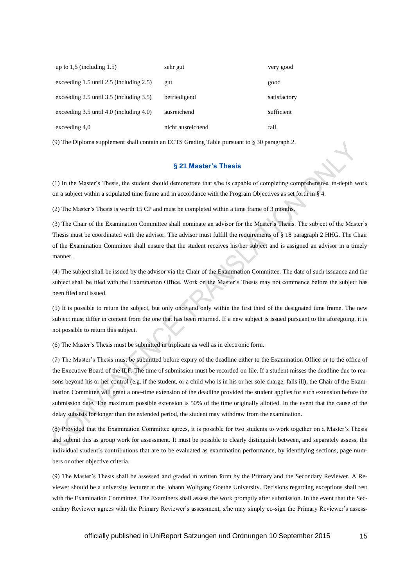| up to $1,5$ (including $1.5$ )                 | sehr gut          | very good    |
|------------------------------------------------|-------------------|--------------|
| exceeding $1.5$ until $2.5$ (including $2.5$ ) | gut               | good         |
| exceeding $2.5$ until $3.5$ (including $3.5$ ) | befriedigend      | satisfactory |
| exceeding $3.5$ until $4.0$ (including $4.0$ ) | ausreichend       | sufficient   |
| exceeding $4,0$                                | nicht ausreichend | fail.        |

(9) The Diploma supplement shall contain an ECTS Grading Table pursuant to § 30 paragraph 2.

## **§ 21 Master's Thesis**

(1) In the Master's Thesis, the student should demonstrate that s/he is capable of completing comprehensive, in-depth work on a subject within a stipulated time frame and in accordance with the Program Objectives as set forth in § 4.

(2) The Master's Thesis is worth 15 CP and must be completed within a time frame of 3 months.

(3) The Chair of the Examination Committee shall nominate an advisor for the Master's Thesis. The subject of the Master's Thesis must be coordinated with the advisor. The advisor must fulfill the requirements of § 18 paragraph 2 HHG. The Chair of the Examination Committee shall ensure that the student receives his/her subject and is assigned an advisor in a timely manner.

(4) The subject shall be issued by the advisor via the Chair of the Examination Committee. The date of such issuance and the subject shall be filed with the Examination Office. Work on the Master's Thesis may not commence before the subject has been filed and issued.

(5) It is possible to return the subject, but only once and only within the first third of the designated time frame. The new subject must differ in content from the one that has been returned. If a new subject is issued pursuant to the aforegoing, it is not possible to return this subject.

(6) The Master's Thesis must be submitted in triplicate as well as in electronic form.

(7) The Master's Thesis must be submitted before expiry of the deadline either to the Examination Office or to the office of the Executive Board of the ILF. The time of submission must be recorded on file. If a student misses the deadline due to reasons beyond his or her control (e.g. if the student, or a child who is in his or her sole charge, falls ill), the Chair of the Examination Committee will grant a one-time extension of the deadline provided the student applies for such extension before the submission date. The maximum possible extension is 50% of the time originally allotted. In the event that the cause of the delay subsists for longer than the extended period, the student may withdraw from the examination.

(8) Provided that the Examination Committee agrees, it is possible for two students to work together on a Master's Thesis and submit this as group work for assessment. It must be possible to clearly distinguish between, and separately assess, the individual student's contributions that are to be evaluated as examination performance, by identifying sections, page numbers or other objective criteria.

(9) The Master's Thesis shall be assessed and graded in written form by the Primary and the Secondary Reviewer. A Reviewer should be a university lecturer at the Johann Wolfgang Goethe University. Decisions regarding exceptions shall rest with the Examination Committee. The Examiners shall assess the work promptly after submission. In the event that the Secondary Reviewer agrees with the Primary Reviewer's assessment, s/he may simply co-sign the Primary Reviewer's assess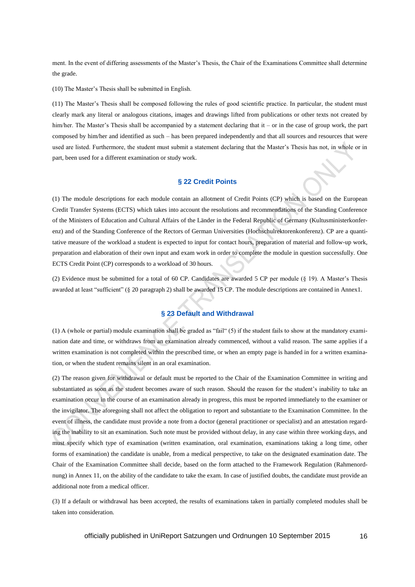ment. In the event of differing assessments of the Master's Thesis, the Chair of the Examinations Committee shall determine the grade.

(10) The Master's Thesis shall be submitted in English.

(11) The Master's Thesis shall be composed following the rules of good scientific practice. In particular, the student must clearly mark any literal or analogous citations, images and drawings lifted from publications or other texts not created by him/her. The Master's Thesis shall be accompanied by a statement declaring that it – or in the case of group work, the part composed by him/her and identified as such – has been prepared independently and that all sources and resources that were used are listed. Furthermore, the student must submit a statement declaring that the Master's Thesis has not, in whole or in part, been used for a different examination or study work.

# **§ 22 Credit Points**

(1) The module descriptions for each module contain an allotment of Credit Points (CP) which is based on the European Credit Transfer Systems (ECTS) which takes into account the resolutions and recommendations of the Standing Conference of the Ministers of Education and Cultural Affairs of the Länder in the Federal Republic of Germany (Kultusministerkonferenz) and of the Standing Conference of the Rectors of German Universities (Hochschulrektorenkonferenz). CP are a quantitative measure of the workload a student is expected to input for contact hours, preparation of material and follow-up work, preparation and elaboration of their own input and exam work in order to complete the module in question successfully. One ECTS Credit Point (CP) corresponds to a workload of 30 hours.

(2) Evidence must be submitted for a total of 60 CP. Candidates are awarded 5 CP per module (§ 19). A Master's Thesis awarded at least "sufficient" (§ 20 paragraph 2) shall be awarded 15 CP. The module descriptions are contained in Annex1.

# **§ 23 Default and Withdrawal**

(1) A (whole or partial) module examination shall be graded as "fail" (5) if the student fails to show at the mandatory examination date and time, or withdraws from an examination already commenced, without a valid reason. The same applies if a written examination is not completed within the prescribed time, or when an empty page is handed in for a written examination, or when the student remains silent in an oral examination.

(2) The reason given for withdrawal or default must be reported to the Chair of the Examination Committee in writing and substantiated as soon as the student becomes aware of such reason. Should the reason for the student's inability to take an examination occur in the course of an examination already in progress, this must be reported immediately to the examiner or the invigilator. The aforegoing shall not affect the obligation to report and substantiate to the Examination Committee. In the event of illness, the candidate must provide a note from a doctor (general practitioner or specialist) and an attestation regarding the inability to sit an examination. Such note must be provided without delay, in any case within three working days, and must specify which type of examination (written examination, oral examination, examinations taking a long time, other forms of examination) the candidate is unable, from a medical perspective, to take on the designated examination date. The Chair of the Examination Committee shall decide, based on the form attached to the Framework Regulation (Rahmenordnung) in Annex 11, on the ability of the candidate to take the exam. In case of justified doubts, the candidate must provide an additional note from a medical officer.

(3) If a default or withdrawal has been accepted, the results of examinations taken in partially completed modules shall be taken into consideration.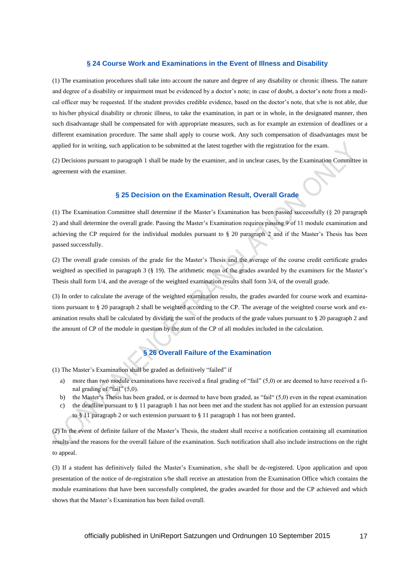## **§ 24 Course Work and Examinations in the Event of Illness and Disability**

(1) The examination procedures shall take into account the nature and degree of any disability or chronic illness. The nature and degree of a disability or impairment must be evidenced by a doctor's note; in case of doubt, a doctor's note from a medical officer may be requested. If the student provides credible evidence, based on the doctor's note, that s/he is not able, due to his/her physical disability or chronic illness, to take the examination, in part or in whole, in the designated manner, then such disadvantage shall be compensated for with appropriate measures, such as for example an extension of deadlines or a different examination procedure. The same shall apply to course work. Any such compensation of disadvantages must be applied for in writing, such application to be submitted at the latest together with the registration for the exam.

(2) Decisions pursuant to paragraph 1 shall be made by the examiner, and in unclear cases, by the Examination Committee in agreement with the examiner.

# **§ 25 Decision on the Examination Result, Overall Grade**

(1) The Examination Committee shall determine if the Master's Examination has been passed successfully (§ 20 paragraph 2) and shall determine the overall grade. Passing the Master's Examination requires passing 9 of 11 module examination and achieving the CP required for the individual modules pursuant to § 20 paragraph 2 and if the Master's Thesis has been passed successfully.

(2) The overall grade consists of the grade for the Master's Thesis and the average of the course credit certificate grades weighted as specified in paragraph 3 (§ 19). The arithmetic mean of the grades awarded by the examiners for the Master's Thesis shall form 1/4, and the average of the weighted examination results shall form 3/4, of the overall grade.

(3) In order to calculate the average of the weighted examination results, the grades awarded for course work and examinations pursuant to § 20 paragraph 2 shall be weighted according to the CP. The average of the weighted course work and examination results shall be calculated by dividing the sum of the products of the grade values pursuant to § 20 paragraph 2 and the amount of CP of the module in question by the sum of the CP of all modules included in the calculation.

# **§ 26 Overall Failure of the Examination**

(1) The Master's Examination shall be graded as definitively "failed" if

- a) more than two module examinations have received a final grading of "fail" (5,0) or are deemed to have received a final grading of "fail" (5,0).
- b) the Master's Thesis has been graded, or is deemed to have been graded, as "fail" (5,0) even in the repeat examination
- c) the deadline pursuant to § 11 paragraph 1 has not been met and the student has not applied for an extension pursuant to § 11 paragraph 2 or such extension pursuant to § 11 paragraph 1 has not been granted.

(2) In the event of definite failure of the Master's Thesis, the student shall receive a notification containing all examination results and the reasons for the overall failure of the examination. Such notification shall also include instructions on the right to appeal.

(3) If a student has definitively failed the Master's Examination, s/he shall be de-registered. Upon application and upon presentation of the notice of de-registration s/he shall receive an attestation from the Examination Office which contains the module examinations that have been successfully completed, the grades awarded for those and the CP achieved and which shows that the Master's Examination has been failed overall.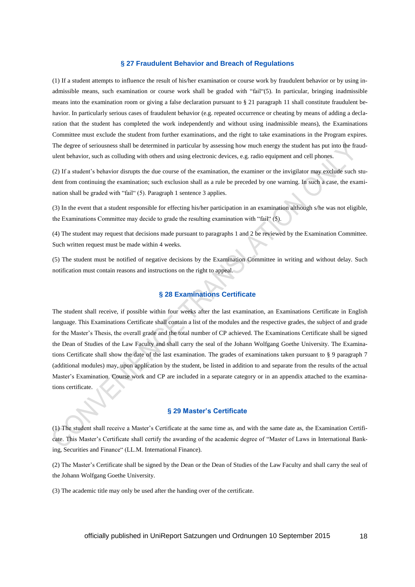## **§ 27 Fraudulent Behavior and Breach of Regulations**

(1) If a student attempts to influence the result of his/her examination or course work by fraudulent behavior or by using inadmissible means, such examination or course work shall be graded with "fail"(5). In particular, bringing inadmissible means into the examination room or giving a false declaration pursuant to § 21 paragraph 11 shall constitute fraudulent behavior. In particularly serious cases of fraudulent behavior (e.g. repeated occurrence or cheating by means of adding a declaration that the student has completed the work independently and without using inadmissible means), the Examinations Committee must exclude the student from further examinations, and the right to take examinations in the Program expires. The degree of seriousness shall be determined in particular by assessing how much energy the student has put into the fraudulent behavior, such as colluding with others and using electronic devices, e.g. radio equipment and cell phones.

(2) If a student's behavior disrupts the due course of the examination, the examiner or the invigilator may exclude such student from continuing the examination; such exclusion shall as a rule be preceded by one warning. In such a case, the examination shall be graded with "fail" (5). Paragraph 1 sentence 3 applies.

(3) In the event that a student responsible for effecting his/her participation in an examination although s/he was not eligible, the Examinations Committee may decide to grade the resulting examination with "fail" (5).

(4) The student may request that decisions made pursuant to paragraphs 1 and 2 be reviewed by the Examination Committee. Such written request must be made within 4 weeks.

(5) The student must be notified of negative decisions by the Examination Committee in writing and without delay. Such notification must contain reasons and instructions on the right to appeal.

# **§ 28 Examinations Certificate**

The student shall receive, if possible within four weeks after the last examination, an Examinations Certificate in English language. This Examinations Certificate shall contain a list of the modules and the respective grades, the subject of and grade for the Master's Thesis, the overall grade and the total number of CP achieved. The Examinations Certificate shall be signed the Dean of Studies of the Law Faculty and shall carry the seal of the Johann Wolfgang Goethe University. The Examinations Certificate shall show the date of the last examination. The grades of examinations taken pursuant to § 9 paragraph 7 (additional modules) may, upon application by the student, be listed in addition to and separate from the results of the actual Master's Examination. Course work and CP are included in a separate category or in an appendix attached to the examinations certificate.

## **§ 29 Master's Certificate**

(1) The student shall receive a Master's Certificate at the same time as, and with the same date as, the Examination Certificate. This Master's Certificate shall certify the awarding of the academic degree of "Master of Laws in International Banking, Securities and Finance" (LL.M. International Finance).

(2) The Master's Certificate shall be signed by the Dean or the Dean of Studies of the Law Faculty and shall carry the seal of the Johann Wolfgang Goethe University.

(3) The academic title may only be used after the handing over of the certificate.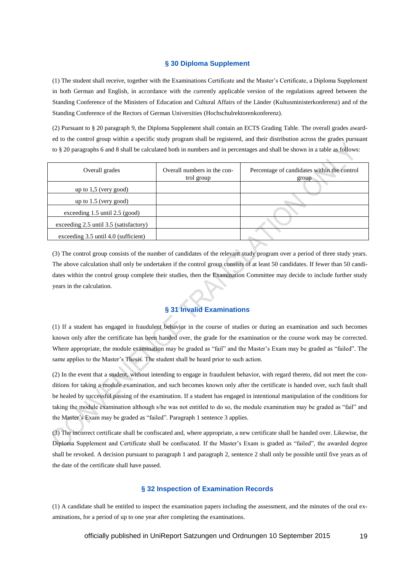## **§ 30 Diploma Supplement**

(1) The student shall receive, together with the Examinations Certificate and the Master's Certificate, a Diploma Supplement in both German and English, in accordance with the currently applicable version of the regulations agreed between the Standing Conference of the Ministers of Education and Cultural Affairs of the Länder (Kultusministerkonferenz) and of the Standing Conference of the Rectors of German Universities (Hochschulrektorenkonferenz).

(2) Pursuant to § 20 paragraph 9, the Diploma Supplement shall contain an ECTS Grading Table. The overall grades awarded to the control group within a specific study program shall be registered, and their distribution across the grades pursuant to § 20 paragraphs 6 and 8 shall be calculated both in numbers and in percentages and shall be shown in a table as follows:

| Overall grades                         | Overall numbers in the con-<br>trol group | Percentage of candidates within the control<br>group |
|----------------------------------------|-------------------------------------------|------------------------------------------------------|
| up to $1,5$ (very good)                |                                           |                                                      |
| up to $1.5$ (very good)                |                                           |                                                      |
| exceeding $1.5$ until $2.5$ (good)     |                                           |                                                      |
| exceeding 2.5 until 3.5 (satisfactory) |                                           |                                                      |
| exceeding 3.5 until 4.0 (sufficient)   |                                           |                                                      |

(3) The control group consists of the number of candidates of the relevant study program over a period of three study years. The above calculation shall only be undertaken if the control group consists of at least 50 candidates. If fewer than 50 candidates within the control group complete their studies, then the Examination Committee may decide to include further study years in the calculation.

# **§ 31 Invalid Examinations**

(1) If a student has engaged in fraudulent behavior in the course of studies or during an examination and such becomes known only after the certificate has been handed over, the grade for the examination or the course work may be corrected. Where appropriate, the module examination may be graded as "fail" and the Master's Exam may be graded as "failed". The same applies to the Master's Thesis. The student shall be heard prior to such action.

(2) In the event that a student, without intending to engage in fraudulent behavior, with regard thereto, did not meet the conditions for taking a module examination, and such becomes known only after the certificate is handed over, such fault shall be healed by successful passing of the examination. If a student has engaged in intentional manipulation of the conditions for taking the module examination although s/he was not entitled to do so, the module examination may be graded as "fail" and the Master's Exam may be graded as "failed". Paragraph 1 sentence 3 applies.

(3) The incorrect certificate shall be confiscated and, where appropriate, a new certificate shall be handed over. Likewise, the Diploma Supplement and Certificate shall be confiscated. If the Master's Exam is graded as "failed", the awarded degree shall be revoked. A decision pursuant to paragraph 1 and paragraph 2, sentence 2 shall only be possible until five years as of the date of the certificate shall have passed.

# **§ 32 Inspection of Examination Records**

(1) A candidate shall be entitled to inspect the examination papers including the assessment, and the minutes of the oral examinations, for a period of up to one year after completing the examinations.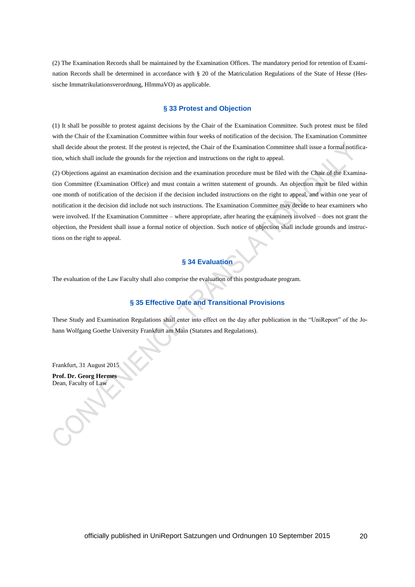(2) The Examination Records shall be maintained by the Examination Offices. The mandatory period for retention of Examination Records shall be determined in accordance with § 20 of the Matriculation Regulations of the State of Hesse (Hessische Immatrikulationsverordnung, HImmaVO) as applicable.

## **§ 33 Protest and Objection**

(1) It shall be possible to protest against decisions by the Chair of the Examination Committee. Such protest must be filed with the Chair of the Examination Committee within four weeks of notification of the decision. The Examination Committee shall decide about the protest. If the protest is rejected, the Chair of the Examination Committee shall issue a formal notification, which shall include the grounds for the rejection and instructions on the right to appeal.

(2) Objections against an examination decision and the examination procedure must be filed with the Chair of the Examination Committee (Examination Office) and must contain a written statement of grounds. An objection must be filed within one month of notification of the decision if the decision included instructions on the right to appeal, and within one year of notification it the decision did include not such instructions. The Examination Committee may decide to hear examiners who were involved. If the Examination Committee – where appropriate, after hearing the examiners involved – does not grant the objection, the President shall issue a formal notice of objection. Such notice of objection shall include grounds and instructions on the right to appeal.

# **§ 34 Evaluation**

The evaluation of the Law Faculty shall also comprise the evaluation of this postgraduate program.

# **§ 35 Effective Date and Transitional Provisions**

These Study and Examination Regulations shall enter into effect on the day after publication in the "UniReport" of the Johann Wolfgang Goethe University Frankfurt am Main (Statutes and Regulations).

Frankfurt, 31 August 2015

**Prof. Dr. Georg Hermes** Dean, Faculty of Law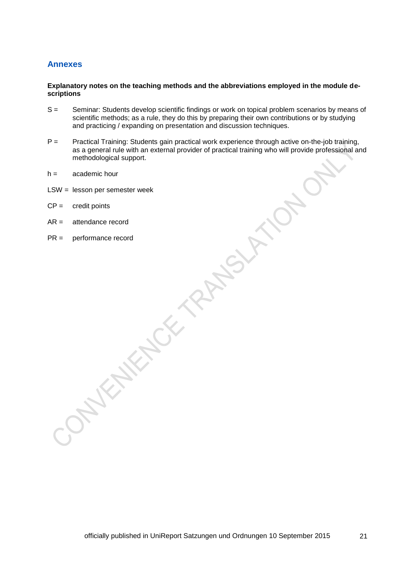# **Annexes**

# **Explanatory notes on the teaching methods and the abbreviations employed in the module descriptions**

- S = Seminar: Students develop scientific findings or work on topical problem scenarios by means of scientific methods; as a rule, they do this by preparing their own contributions or by studying and practicing / expanding on presentation and discussion techniques.
- P = Practical Training: Students gain practical work experience through active on-the-job training, as a general rule with an external provider of practical training who will provide professional and methodological support.
- h = academic hour
- LSW = lesson per semester week
- $CP =$  credit points
- AR = attendance record
- PR = performance record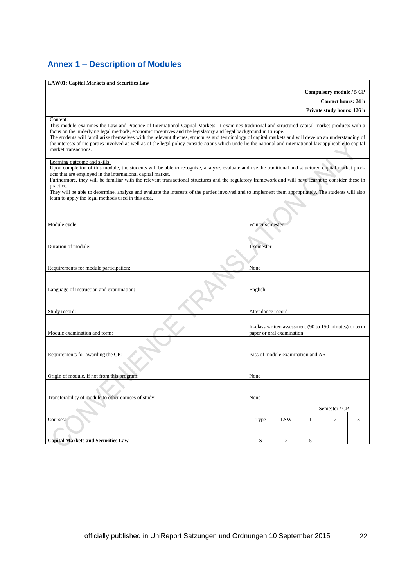# **Annex 1 – Description of Modules**

| <b>LAW01: Capital Markets and Securities Law</b>                                                                                                                                                                                                                                                                                                                                                                                                                                                                                                                                                                                           |                                                                                      |                |   |                            |   |  |
|--------------------------------------------------------------------------------------------------------------------------------------------------------------------------------------------------------------------------------------------------------------------------------------------------------------------------------------------------------------------------------------------------------------------------------------------------------------------------------------------------------------------------------------------------------------------------------------------------------------------------------------------|--------------------------------------------------------------------------------------|----------------|---|----------------------------|---|--|
|                                                                                                                                                                                                                                                                                                                                                                                                                                                                                                                                                                                                                                            |                                                                                      |                |   | Compulsory module / 5 CP   |   |  |
|                                                                                                                                                                                                                                                                                                                                                                                                                                                                                                                                                                                                                                            |                                                                                      |                |   | <b>Contact hours: 24 h</b> |   |  |
| Private study hours: 126 h                                                                                                                                                                                                                                                                                                                                                                                                                                                                                                                                                                                                                 |                                                                                      |                |   |                            |   |  |
| Content:<br>This module examines the Law and Practice of International Capital Markets. It examines traditional and structured capital market products with a<br>focus on the underlying legal methods, economic incentives and the legislatory and legal background in Europe.<br>The students will familiarize themselves with the relevant themes, structures and terminology of capital markets and will develop an understanding of<br>the interests of the parties involved as well as of the legal policy considerations which underlie the national and international law applicable to capital<br>market transactions.            |                                                                                      |                |   |                            |   |  |
| Learning outcome and skills:<br>Upon completion of this module, the students will be able to recognize, analyze, evaluate and use the traditional and structured capital market prod-<br>ucts that are employed in the international capital market.<br>Furthermore, they will be familiar with the relevant transactional structures and the regulatory framework and will have learnt to consider these in<br>practice.<br>They will be able to determine, analyze and evaluate the interests of the parties involved and to implement them appropriately. The students will also<br>learn to apply the legal methods used in this area. |                                                                                      |                |   |                            |   |  |
| Module cycle:                                                                                                                                                                                                                                                                                                                                                                                                                                                                                                                                                                                                                              | Winter semester                                                                      |                |   |                            |   |  |
| Duration of module:                                                                                                                                                                                                                                                                                                                                                                                                                                                                                                                                                                                                                        | 1 semester                                                                           |                |   |                            |   |  |
| Requirements for module participation:                                                                                                                                                                                                                                                                                                                                                                                                                                                                                                                                                                                                     | None                                                                                 |                |   |                            |   |  |
| Language of instruction and examination:                                                                                                                                                                                                                                                                                                                                                                                                                                                                                                                                                                                                   | English                                                                              |                |   |                            |   |  |
| Study record:                                                                                                                                                                                                                                                                                                                                                                                                                                                                                                                                                                                                                              | Attendance record                                                                    |                |   |                            |   |  |
| Module examination and form:                                                                                                                                                                                                                                                                                                                                                                                                                                                                                                                                                                                                               | In-class written assessment (90 to 150 minutes) or term<br>paper or oral examination |                |   |                            |   |  |
| Requirements for awarding the CP:                                                                                                                                                                                                                                                                                                                                                                                                                                                                                                                                                                                                          | Pass of module examination and AR                                                    |                |   |                            |   |  |
| Origin of module, if not from this program:                                                                                                                                                                                                                                                                                                                                                                                                                                                                                                                                                                                                | None                                                                                 |                |   |                            |   |  |
|                                                                                                                                                                                                                                                                                                                                                                                                                                                                                                                                                                                                                                            |                                                                                      |                |   |                            |   |  |
| Transferability of module to other courses of study:                                                                                                                                                                                                                                                                                                                                                                                                                                                                                                                                                                                       | None                                                                                 |                |   |                            |   |  |
|                                                                                                                                                                                                                                                                                                                                                                                                                                                                                                                                                                                                                                            | Semester / CP                                                                        |                |   |                            |   |  |
| Courses:                                                                                                                                                                                                                                                                                                                                                                                                                                                                                                                                                                                                                                   | Type                                                                                 | <b>LSW</b>     | 1 | $\overline{2}$             | 3 |  |
|                                                                                                                                                                                                                                                                                                                                                                                                                                                                                                                                                                                                                                            |                                                                                      |                |   |                            |   |  |
| <b>Capital Markets and Securities Law</b>                                                                                                                                                                                                                                                                                                                                                                                                                                                                                                                                                                                                  | S                                                                                    | $\overline{2}$ | 5 |                            |   |  |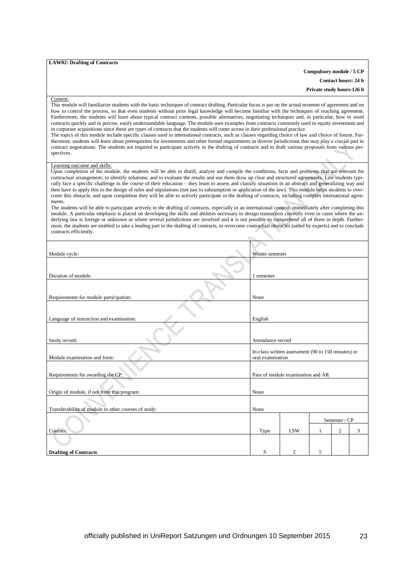### **LAW02: Drafting of Contracts**

**Compulsory module / 5 CP**

**Contact hours: 24 h Private study hours:126 h**

#### Content:

This module will familiarize students with the basic techniques of contract drafting. Particular focus is put on the actual moment of agreement and on how to control the process, so that even students without prior legal knowledge will become familiar with the techniques of reaching agreement. Furthermore, the students will learn about typical contract contents, possible alternatives, negotiating techniques and, in particular, how to word contracts quickly and in precise, easily understandable language. The module uses examples from contracts commonly used in equity investment and in corporate acquisitions since these are types of contracts that the students will come across in their professional practice. The topics of this module include specific clauses used in international contracts, such as clauses regarding choice of law and choice of forum. Furthermore, students will learn about prerequisites for investments and other formal requirements in diverse jurisdictions that may play a crucial part in contract negotiations. The students are required to participate actively in the drafting of contracts and to draft various proposals from various perspectives.

### Learning outcome and skills:

Upon completion of the module, the students will be able to distill, analyze and compile the conditions, facts and problems that are relevant for contractual arrangement; to identify solutions; and to evaluate the results and use them draw up clear and structured agreements. Law students typically face a specific challenge in the course of their education – they learn to assess and classify situations in an abstract and generalizing way and then have to apply this to the design of rules and stipulations (not just to subsumption or application of the law). This module helps students to overcome this obstacle, and upon completion they will be able to actively participate in the drafting of contracts, including complex international agreements.

The students will be able to participate actively in the drafting of contracts, especially in an international context, immediately after completing this module. A particular emphasis is placed on developing the skills and abilities necessary to design transaction correctly even in cases where the underlying law is foreign or unknown or where several jurisdictions are involved and it is not possible to comprehend all of them in depth. Furthermore, the students are enabled to take a leading part in the drafting of contracts, to overcome contractual obstacles (aided by experts) and to conclude contracts efficiently.

| Module cycle:                                        | Winter semester                                                        |                                   |   |                |   |
|------------------------------------------------------|------------------------------------------------------------------------|-----------------------------------|---|----------------|---|
|                                                      |                                                                        |                                   |   |                |   |
| Duration of module:                                  | 1 semester                                                             |                                   |   |                |   |
| Requirements for module participation:               | None                                                                   |                                   |   |                |   |
|                                                      |                                                                        |                                   |   |                |   |
| Language of instruction and examination:             | English                                                                |                                   |   |                |   |
|                                                      |                                                                        |                                   |   |                |   |
| Study record:                                        | Attendance record                                                      |                                   |   |                |   |
| Module examination and form:                         | In-class written assessment (90 to 150 minutes) or<br>oral examination |                                   |   |                |   |
| Requirements for awarding the CP:                    |                                                                        | Pass of module examination and AR |   |                |   |
| Origin of module, if not from this program:          | None                                                                   |                                   |   |                |   |
| Transferability of module to other courses of study: | None                                                                   |                                   |   |                |   |
|                                                      | Semester / CP                                                          |                                   |   |                |   |
| Courses:                                             | Type                                                                   | <b>LSW</b>                        | 1 | $\overline{2}$ | 3 |
|                                                      |                                                                        |                                   |   |                |   |
| <b>Drafting of Contracts</b>                         | S                                                                      | $\overline{c}$                    | 5 |                |   |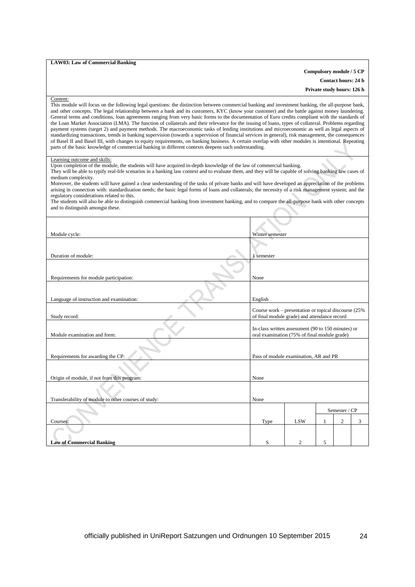### **LAW03: Law of Commercial Banking**

### **Compulsory module / 5 CP**

**Contact hours: 24 h**

**Private study hours: 126 h**

### Content:

This module will focus on the following legal questions: the distinction between commercial banking and investment banking, the all-purpose bank, and other concepts. The legal relationship between a bank and its customers, KYC (know your customer) and the battle against money laundering. General terms and conditions, loan agreements ranging from very basic forms to the documentation of Euro credits compliant with the standards of the Loan Market Association (LMA). The function of collaterals and their relevance for the issuing of loans, types of collateral. Problems regarding payment systems (target 2) and payment methods. The macroeconomic tasks of lending institutions and microeconomic as well as legal aspects of standardizing transactions, trends in banking supervision (towards a supervision of financial services in general), risk management, the consequences of Basel II and Basel III, with changes to equity requirements, on banking business. A certain overlap with other modules is intentional. Repeating parts of the basic knowledge of commercial banking in different contexts deepens such understanding.

### Learning outcome and skills:

Upon completion of the module, the students will have acquired in-depth knowledge of the law of commercial banking.

They will be able to typify real-life scenarios in a banking law context and to evaluate them, and they will be capable of solving banking law cases of medium complexity.

Moreover, the students will have gained a clear understanding of the tasks of private banks and will have developed an appreciation of the problems arising in connection with: standardization needs; the basic legal forms of loans and collaterals; the necessity of a risk management system; and the regulatory considerations related to this.

The students will also be able to distinguish commercial banking from investment banking, and to compare the all-purpose bank with other concepts and to distinguish amongst these.

| Module cycle:                                        | Winter semester                                                                                       |                |   |                |   |
|------------------------------------------------------|-------------------------------------------------------------------------------------------------------|----------------|---|----------------|---|
| Duration of module:                                  | 1 semester                                                                                            |                |   |                |   |
| Requirements for module participation:               | None                                                                                                  |                |   |                |   |
| Language of instruction and examination:             | English                                                                                               |                |   |                |   |
| Study record:                                        | Course work – presentation or topical discourse (25%)<br>of final module grade) and attendance record |                |   |                |   |
| Module examination and form:                         | In-class written assessment (90 to 150 minutes) or<br>oral examination (75% of final module grade)    |                |   |                |   |
| Requirements for awarding the CP:                    | Pass of module examination, AR and PR                                                                 |                |   |                |   |
|                                                      |                                                                                                       |                |   |                |   |
| Origin of module, if not from this program:          | None                                                                                                  |                |   |                |   |
| Transferability of module to other courses of study: | None                                                                                                  |                |   |                |   |
|                                                      | Semester / CP                                                                                         |                |   |                |   |
| Courses:                                             | Type                                                                                                  | <b>LSW</b>     | 1 | $\overline{c}$ | 3 |
| <b>Law of Commercial Banking</b>                     | S                                                                                                     | $\overline{c}$ | 5 |                |   |
|                                                      |                                                                                                       |                |   |                |   |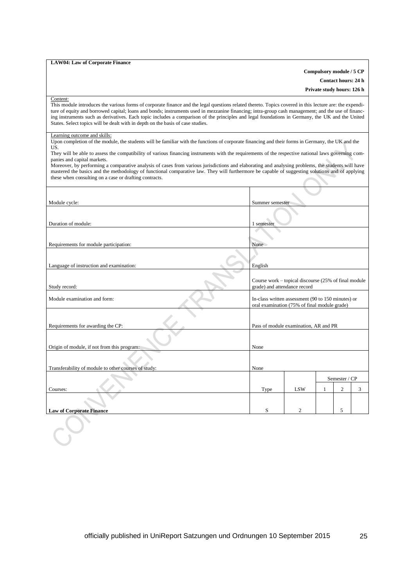### **LAW04: Law of Corporate Finance**

## **Compulsory module / 5 CP**

**Contact hours: 24 h**

**Private study hours: 126 h**

#### Content:

This module introduces the various forms of corporate finance and the legal questions related thereto. Topics covered in this lecture are: the expenditure of equity and borrowed capital; loans and bonds; instruments used in mezzanine financing; intra-group cash management; and the use of financing instruments such as derivatives. Each topic includes a comparison of the principles and legal foundations in Germany, the UK and the United States. Select topics will be dealt with in depth on the basis of case studies.

### Learning outcome and skills:

Upon completion of the module, the students will be familiar with the functions of corporate financing and their forms in Germany, the UK and the US.

They will be able to assess the compatibility of various financing instruments with the requirements of the respective national laws governing companies and capital markets.

Moreover, by performing a comparative analysis of cases from various jurisdictions and elaborating and analysing problems, the students will have mastered the basics and the methodology of functional comparative law. They will furthermore be capable of suggesting solutions and of applying these when consulting on a case or drafting contracts.

| Module cycle:                                        |                                       | Summer semester                                                                                    |              |                |   |
|------------------------------------------------------|---------------------------------------|----------------------------------------------------------------------------------------------------|--------------|----------------|---|
| Duration of module:                                  | 1 semester                            |                                                                                                    |              |                |   |
|                                                      |                                       |                                                                                                    |              |                |   |
| Requirements for module participation:               | None                                  |                                                                                                    |              |                |   |
|                                                      |                                       |                                                                                                    |              |                |   |
| Language of instruction and examination:             | English                               |                                                                                                    |              |                |   |
| Study record:                                        |                                       | Course work – topical discourse (25% of final module<br>grade) and attendance record               |              |                |   |
| Module examination and form:                         |                                       | In-class written assessment (90 to 150 minutes) or<br>oral examination (75% of final module grade) |              |                |   |
| Requirements for awarding the CP:                    | Pass of module examination, AR and PR |                                                                                                    |              |                |   |
| Origin of module, if not from this program:          | None                                  |                                                                                                    |              |                |   |
| Transferability of module to other courses of study: | None                                  |                                                                                                    |              |                |   |
|                                                      |                                       |                                                                                                    |              |                |   |
|                                                      | Semester / CP                         |                                                                                                    |              |                |   |
| Courses:                                             | Type                                  | <b>LSW</b>                                                                                         | $\mathbf{1}$ | $\overline{2}$ | 3 |
|                                                      |                                       |                                                                                                    |              |                |   |
| <b>Law of Corporate Finance</b>                      | S                                     | 2                                                                                                  |              | 5              |   |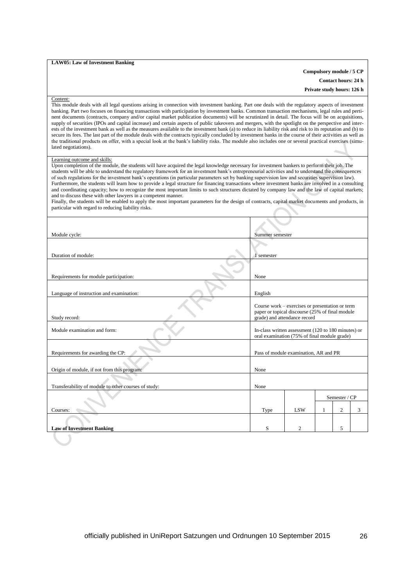### **LAW05: Law of Investment Banking**

# **Compulsory module / 5 CP**

**Contact hours: 24 h Private study hours: 126 h**

#### Content:

This module deals with all legal questions arising in connection with investment banking. Part one deals with the regulatory aspects of investment banking. Part two focuses on financing transactions with participation by investment banks. Common transaction mechanisms, legal rules and pertinent documents (contracts, company and/or capital market publication documents) will be scrutinized in detail. The focus will be on acquisitions, supply of securities (IPOs and capital increase) and certain aspects of public takeovers and mergers, with the spotlight on the perspective and interests of the investment bank as well as the measures available to the investment bank (a) to reduce its liability risk and risk to its reputation and (b) to secure its fees. The last part of the module deals with the contracts typically concluded by investment banks in the course of their activities as well as the traditional products on offer, with a special look at the bank's liability risks. The module also includes one or several practical exercises (simulated negotiations).

### Learning outcome and skills:

Upon completion of the module, the students will have acquired the legal knowledge necessary for investment bankers to perform their job. The students will be able to understand the regulatory framework for an investment bank's entrepreneurial activities and to understand the consequences of such regulations for the investment bank's operations (in particular parameters set by banking supervision law and securities supervision law). Furthermore, the students will learn how to provide a legal structure for financing transactions where investment banks are involved in a consulting and coordinating capacity; how to recognize the most important limits to such structures dictated by company law and the law of capital markets; and to discuss these with other lawyers in a competent manner.

Finally, the students will be enabled to apply the most important parameters for the design of contracts, capital market documents and products, in particular with regard to reducing liability risks.

| Module cycle:                                        | Summer semester                                                                                                                    |                                                                                                     |   |                |   |
|------------------------------------------------------|------------------------------------------------------------------------------------------------------------------------------------|-----------------------------------------------------------------------------------------------------|---|----------------|---|
| Duration of module:                                  | 1 semester                                                                                                                         |                                                                                                     |   |                |   |
| Requirements for module participation:               | None                                                                                                                               |                                                                                                     |   |                |   |
| Language of instruction and examination:             | English                                                                                                                            |                                                                                                     |   |                |   |
| Study record:                                        | Course work – exercises or presentation or term<br>paper or topical discourse (25% of final module<br>grade) and attendance record |                                                                                                     |   |                |   |
| Module examination and form:                         |                                                                                                                                    | In-class written assessment (120 to 180 minutes) or<br>oral examination (75% of final module grade) |   |                |   |
| Requirements for awarding the CP:                    |                                                                                                                                    | Pass of module examination, AR and PR                                                               |   |                |   |
| Origin of module, if not from this program:          | None                                                                                                                               |                                                                                                     |   |                |   |
| Transferability of module to other courses of study: | None                                                                                                                               |                                                                                                     |   |                |   |
|                                                      | Semester / CP                                                                                                                      |                                                                                                     |   |                |   |
| Courses:                                             | Type                                                                                                                               | LSW                                                                                                 | 1 | $\overline{2}$ | 3 |
| <b>Law of Investment Banking</b>                     | S                                                                                                                                  | 2                                                                                                   |   | 5              |   |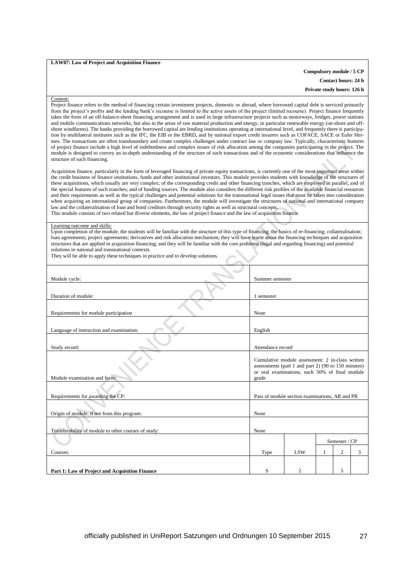### **LAW07: Law of Project and Acquisition Finance**

# **Compulsory module / 5 CP Contact hours: 24 h Private study hours: 126 h**

### Content:

Project finance refers to the method of financing certain investment projects, domestic or abroad, where borrowed capital debt is serviced primarily from the project's profits and the lending bank's recourse is limited to the active assets of the project (limited recourse). Project finance frequently takes the form of an off-balance-sheet financing arrangement and is used in large infrastructure projects such as motorways, bridges, power stations and mobile communications networks, but also in the areas of raw material production and energy, in particular renewable energy (on-shore and offshore windfarms). The banks providing the borrowed capital are lending institutions operating at international level, and frequently there is participation by multilateral institutes such as the IFC, the EIB or the EBRD, and by national export credit insurers such as COFACE, SACE or Euler Hermes. The transactions are often transboundary and create complex challenges under contract law or company law. Typically, characteristic features of project finance include a high level of indebtedness and complex issues of risk allocation among the companies participating in the project. The module is designed to convey an in-depth understanding of the structure of such transactions and of the economic considerations that influence the structure of such financing.

Acquisition finance, particularly in the form of leveraged financing of private equity transactions, is currently one of the most important areas within the credit business of finance institutions, funds and other institutional investors. This module provides students with knowledge of the structures of these acquisitions, which usually are very complex; of the corresponding credit and other financing tranches, which are employed in parallel, and of the special features of such tranches; and of funding sources. The module also considers the different risk profiles of the available financial resources and their requirements as well as the typical challenges and potential solutions for the transnational legal issues that must be taken into consideration when acquiring an international group of companies. Furthermore, the module will investigate the structures of national and international company law and the collateralisation of loan and bond creditors through security rights as well as structural concepts. This module consists of two related but diverse elements, the law of project finance and the law of acquisition finance.

### Learning outcome and skills:

Upon completion of the module, the students will be familiar with the structure of this type of financing; the basics of re-financing; collateralisation; loan agreements; project agreements; derivatives and risk allocation mechanism; they will have learnt about the financing techniques and acquisition structures that are applied in acquisition financing; and they will be familiar with the core problems (legal and regarding financing) and potential solutions in national and transnational contexts.

| Module cycle:                                        | Summer semester                                                                                                                                                    |                |   |              |   |
|------------------------------------------------------|--------------------------------------------------------------------------------------------------------------------------------------------------------------------|----------------|---|--------------|---|
| Duration of module:                                  | 1 semester                                                                                                                                                         |                |   |              |   |
| Requirements for module participation                | None                                                                                                                                                               |                |   |              |   |
| Language of instruction and examination:             | English                                                                                                                                                            |                |   |              |   |
| Study record:                                        | Attendance record                                                                                                                                                  |                |   |              |   |
| Module examination and form:                         | Cumulative module assessment: 2 in-class written<br>assessments (part 1 and part 2) (90 to 150 minutes)<br>or oral examinations, each 50% of final module<br>grade |                |   |              |   |
| Requirements for awarding the CP:                    | Pass of module section examinations, AR and PR                                                                                                                     |                |   |              |   |
| Origin of module, if not from this program:          | None                                                                                                                                                               |                |   |              |   |
| Transferability of module to other courses of study: | None                                                                                                                                                               |                |   |              |   |
|                                                      | Semester / CP                                                                                                                                                      |                |   |              |   |
| Courses:                                             | Type                                                                                                                                                               | <b>LSW</b>     | 1 | $\mathbf{2}$ | 3 |
|                                                      |                                                                                                                                                                    |                |   |              |   |
| Part 1: Law of Project and Acquisition Finance       | S                                                                                                                                                                  | $\overline{c}$ |   | 5            |   |

They will be able to apply these techniques in practice and to develop solutions.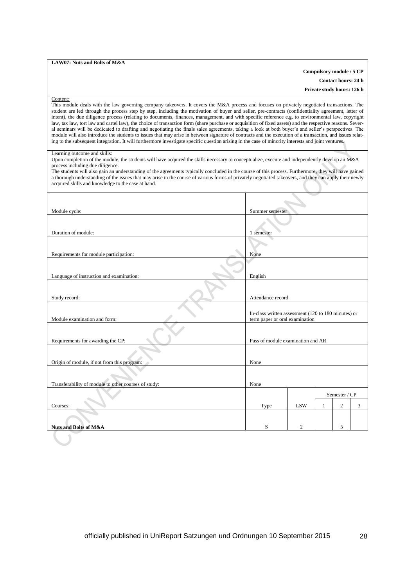### **LAW07: Nuts and Bolts of M&A**

## **Compulsory module / 5 CP**

**Contact hours: 24 h Private study hours: 126 h**

### Content:

This module deals with the law governing company takeovers. It covers the M&A process and focuses on privately negotiated transactions. The student are led through the process step by step, including the motivation of buyer and seller, pre-contracts (confidentiality agreement, letter of intent), the due diligence process (relating to documents, finances, management, and with specific reference e.g. to environmental law, copyright law, tax law, tort law and cartel law), the choice of transaction form (share purchase or acquisition of fixed assets) and the respective reasons. Several seminars will be dedicated to drafting and negotiating the finals sales agreements, taking a look at both buyer's and seller's perspectives. The module will also introduce the students to issues that may arise in between signature of contracts and the execution of a transaction, and issues relating to the subsequent integration. It will furthermore investigate specific question arising in the case of minority interests and joint ventures.

## Learning outcome and skills:

Upon completion of the module, the students will have acquired the skills necessary to conceptualize, execute and independently develop an M&A process including due diligence.

| The students will also gain an understanding of the agreements typically concluded in the course of this process. Furthermore, they will have gained<br>a thorough understanding of the issues that may arise in the course of various forms of privately negotiated takeovers, and they can apply their newly<br>acquired skills and knowledge to the case at hand. |                                                                                       |                |  |   |   |
|----------------------------------------------------------------------------------------------------------------------------------------------------------------------------------------------------------------------------------------------------------------------------------------------------------------------------------------------------------------------|---------------------------------------------------------------------------------------|----------------|--|---|---|
| Module cycle:                                                                                                                                                                                                                                                                                                                                                        | Summer semester                                                                       |                |  |   |   |
| Duration of module:                                                                                                                                                                                                                                                                                                                                                  | 1 semester                                                                            |                |  |   |   |
| Requirements for module participation:                                                                                                                                                                                                                                                                                                                               |                                                                                       |                |  |   |   |
|                                                                                                                                                                                                                                                                                                                                                                      | None                                                                                  |                |  |   |   |
| Language of instruction and examination:                                                                                                                                                                                                                                                                                                                             | English                                                                               |                |  |   |   |
| Study record:                                                                                                                                                                                                                                                                                                                                                        | Attendance record                                                                     |                |  |   |   |
| Module examination and form:                                                                                                                                                                                                                                                                                                                                         | In-class written assessment (120 to 180 minutes) or<br>term paper or oral examination |                |  |   |   |
| Requirements for awarding the CP:                                                                                                                                                                                                                                                                                                                                    | Pass of module examination and AR                                                     |                |  |   |   |
|                                                                                                                                                                                                                                                                                                                                                                      |                                                                                       |                |  |   |   |
| Origin of module, if not from this program:                                                                                                                                                                                                                                                                                                                          | None                                                                                  |                |  |   |   |
| Transferability of module to other courses of study:                                                                                                                                                                                                                                                                                                                 | None                                                                                  |                |  |   |   |
|                                                                                                                                                                                                                                                                                                                                                                      | Semester / CP                                                                         |                |  |   |   |
| Courses:                                                                                                                                                                                                                                                                                                                                                             | $\overline{c}$<br><b>LSW</b><br>Type                                                  |                |  |   | 3 |
|                                                                                                                                                                                                                                                                                                                                                                      |                                                                                       |                |  |   |   |
| <b>Nuts and Bolts of M&amp;A</b>                                                                                                                                                                                                                                                                                                                                     | S                                                                                     | $\overline{2}$ |  | 5 |   |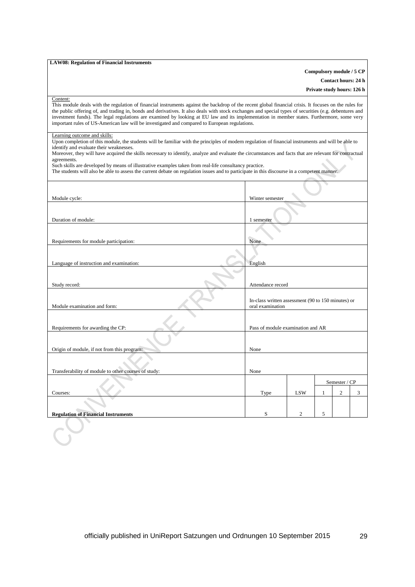### **LAW08: Regulation of Financial Instruments**

## **Compulsory module / 5 CP**

**Contact hours: 24 h**

**Private study hours: 126 h**

#### Content:

This module deals with the regulation of financial instruments against the backdrop of the recent global financial crisis. It focuses on the rules for the public offering of, and trading in, bonds and derivatives. It also deals with stock exchanges and special types of securities (e.g. debentures and investment funds). The legal regulations are examined by looking at EU law and its implementation in member states. Furthermore, some very important rules of US-American law will be investigated and compared to European regulations.

## Learning outcome and skills:

Upon completion of this module, the students will be familiar with the principles of modern regulation of financial instruments and will be able to identify and evaluate their weaknesses.

Moreover, they will have acquired the skills necessary to identify, analyze and evaluate the circumstances and facts that are relevant for contractual agreements.

Such skills are developed by means of illustrative examples taken from real-life consultancy practice.

The students will also be able to assess the current debate on regulation issues and to participate in this discourse in a competent manner.

|                                                      | ÷,                                                                     |                |   |                |   |
|------------------------------------------------------|------------------------------------------------------------------------|----------------|---|----------------|---|
| Module cycle:                                        | Winter semester                                                        |                |   |                |   |
| Duration of module:                                  | 1 semester                                                             |                |   |                |   |
| Requirements for module participation:               | None                                                                   |                |   |                |   |
| Language of instruction and examination:             | English                                                                |                |   |                |   |
|                                                      |                                                                        |                |   |                |   |
| Study record:                                        | Attendance record                                                      |                |   |                |   |
| Module examination and form:                         | In-class written assessment (90 to 150 minutes) or<br>oral examination |                |   |                |   |
| Requirements for awarding the CP:                    | Pass of module examination and AR                                      |                |   |                |   |
| Origin of module, if not from this program:          | None                                                                   |                |   |                |   |
| Transferability of module to other courses of study: | None                                                                   |                |   |                |   |
|                                                      | Semester / CP                                                          |                |   |                |   |
|                                                      |                                                                        |                |   |                |   |
| Courses:                                             | Type                                                                   | <b>LSW</b>     | 1 | $\mathfrak{2}$ | 3 |
|                                                      |                                                                        |                |   |                |   |
| <b>Regulation of Financial Instruments</b>           | S                                                                      | $\overline{c}$ | 5 |                |   |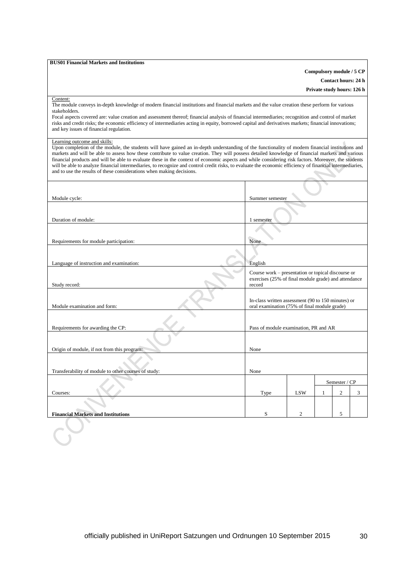### **BUS01 Financial Markets and Institutions**

**Compulsory module / 5 CP Contact hours: 24 h**

**Private study hours: 126 h**

### Content:

The module conveys in-depth knowledge of modern financial institutions and financial markets and the value creation these perform for various stakeholders.

Focal aspects covered are: value creation and assessment thereof; financial analysis of financial intermediaries; recognition and control of market risks and credit risks; the economic efficiency of intermediaries acting in equity, borrowed capital and derivatives markets; financial innovations; and key issues of financial regulation.

#### Learning outcome and skills:

Upon completion of the module, the students will have gained an in-depth understanding of the functionality of modern financial institutions and markets and will be able to assess how these contribute to value creation. They will possess detailed knowledge of financial markets and various financial products and will be able to evaluate these in the context of economic aspects and while considering risk factors. Moreover, the students will be able to analyze financial intermediaries, to recognize and control credit risks, to evaluate the economic efficiency of financial intermediaries, and to use the results of these considerations when making decisions.

| Module cycle:                                                    | Summer semester                                                                                                      |            |   |                |   |
|------------------------------------------------------------------|----------------------------------------------------------------------------------------------------------------------|------------|---|----------------|---|
| Duration of module:                                              | 1 semester                                                                                                           |            |   |                |   |
| Requirements for module participation:                           | None                                                                                                                 |            |   |                |   |
| Language of instruction and examination:                         | English                                                                                                              |            |   |                |   |
| Study record:                                                    | Course work – presentation or topical discourse or<br>exercises (25% of final module grade) and attendance<br>record |            |   |                |   |
| Module examination and form:                                     | In-class written assessment (90 to 150 minutes) or<br>oral examination (75% of final module grade)                   |            |   |                |   |
| Requirements for awarding the CP:                                | Pass of module examination, PR and AR                                                                                |            |   |                |   |
| Origin of module, if not from this program:                      | None                                                                                                                 |            |   |                |   |
| Transferability of module to other courses of study:             | None                                                                                                                 |            |   |                |   |
|                                                                  | Semester / CP                                                                                                        |            |   |                |   |
| Courses:                                                         | Type                                                                                                                 | <b>LSW</b> |   | $\overline{2}$ | 3 |
|                                                                  |                                                                                                                      |            |   |                |   |
| <b>Financial Markets and Institutions</b><br>S<br>$\overline{2}$ |                                                                                                                      |            | 5 |                |   |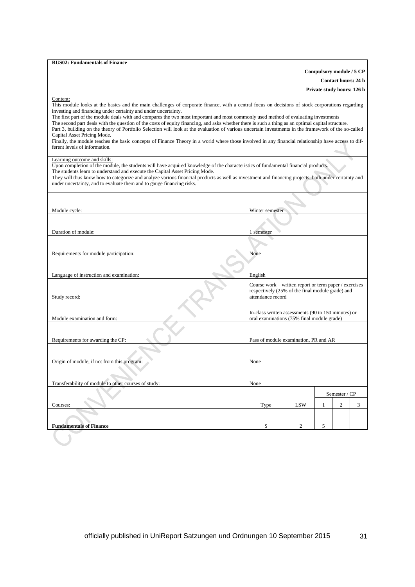| <b>BUS02: Fundamentals of Finance</b>                                                                                                                                                                                                                                                                                                                                                                                                                                                                                                                                                                                                                                                                                                                                                                                                                                                                   |                                                                                                                                 |                |   |                            |   |
|---------------------------------------------------------------------------------------------------------------------------------------------------------------------------------------------------------------------------------------------------------------------------------------------------------------------------------------------------------------------------------------------------------------------------------------------------------------------------------------------------------------------------------------------------------------------------------------------------------------------------------------------------------------------------------------------------------------------------------------------------------------------------------------------------------------------------------------------------------------------------------------------------------|---------------------------------------------------------------------------------------------------------------------------------|----------------|---|----------------------------|---|
|                                                                                                                                                                                                                                                                                                                                                                                                                                                                                                                                                                                                                                                                                                                                                                                                                                                                                                         |                                                                                                                                 |                |   | Compulsory module / 5 CP   |   |
|                                                                                                                                                                                                                                                                                                                                                                                                                                                                                                                                                                                                                                                                                                                                                                                                                                                                                                         |                                                                                                                                 |                |   | <b>Contact hours: 24 h</b> |   |
|                                                                                                                                                                                                                                                                                                                                                                                                                                                                                                                                                                                                                                                                                                                                                                                                                                                                                                         |                                                                                                                                 |                |   | Private study hours: 126 h |   |
| Content:<br>This module looks at the basics and the main challenges of corporate finance, with a central focus on decisions of stock corporations regarding<br>investing and financing under certainty and under uncertainty.<br>The first part of the module deals with and compares the two most important and most commonly used method of evaluating investments<br>The second part deals with the question of the costs of equity financing, and asks whether there is such a thing as an optimal capital structure.<br>Part 3, building on the theory of Portfolio Selection will look at the evaluation of various uncertain investments in the framework of the so-called<br>Capital Asset Pricing Mode.<br>Finally, the module teaches the basic concepts of Finance Theory in a world where those involved in any financial relationship have access to dif-<br>ferent levels of information. |                                                                                                                                 |                |   |                            |   |
| Learning outcome and skills:<br>Upon completion of the module, the students will have acquired knowledge of the characteristics of fundamental financial products.<br>The students learn to understand and execute the Capital Asset Pricing Mode.<br>They will thus know how to categorize and analyze various financial products as well as investment and financing projects, both under certainty and<br>under uncertainty, and to evaluate them and to gauge financing risks.                                                                                                                                                                                                                                                                                                                                                                                                                      |                                                                                                                                 |                |   |                            |   |
| Module cycle:                                                                                                                                                                                                                                                                                                                                                                                                                                                                                                                                                                                                                                                                                                                                                                                                                                                                                           | Winter semester                                                                                                                 |                |   |                            |   |
|                                                                                                                                                                                                                                                                                                                                                                                                                                                                                                                                                                                                                                                                                                                                                                                                                                                                                                         |                                                                                                                                 |                |   |                            |   |
|                                                                                                                                                                                                                                                                                                                                                                                                                                                                                                                                                                                                                                                                                                                                                                                                                                                                                                         |                                                                                                                                 |                |   |                            |   |
| Duration of module:                                                                                                                                                                                                                                                                                                                                                                                                                                                                                                                                                                                                                                                                                                                                                                                                                                                                                     | 1 semester                                                                                                                      |                |   |                            |   |
|                                                                                                                                                                                                                                                                                                                                                                                                                                                                                                                                                                                                                                                                                                                                                                                                                                                                                                         |                                                                                                                                 |                |   |                            |   |
| Requirements for module participation:                                                                                                                                                                                                                                                                                                                                                                                                                                                                                                                                                                                                                                                                                                                                                                                                                                                                  | None                                                                                                                            |                |   |                            |   |
|                                                                                                                                                                                                                                                                                                                                                                                                                                                                                                                                                                                                                                                                                                                                                                                                                                                                                                         |                                                                                                                                 |                |   |                            |   |
| Language of instruction and examination:                                                                                                                                                                                                                                                                                                                                                                                                                                                                                                                                                                                                                                                                                                                                                                                                                                                                | English                                                                                                                         |                |   |                            |   |
| Study record:                                                                                                                                                                                                                                                                                                                                                                                                                                                                                                                                                                                                                                                                                                                                                                                                                                                                                           | Course work – written report or term paper / exercises<br>respectively (25% of the final module grade) and<br>attendance record |                |   |                            |   |
| Module examination and form:                                                                                                                                                                                                                                                                                                                                                                                                                                                                                                                                                                                                                                                                                                                                                                                                                                                                            | In-class written assessments (90 to 150 minutes) or<br>oral examinations (75% final module grade)                               |                |   |                            |   |
| Requirements for awarding the CP:                                                                                                                                                                                                                                                                                                                                                                                                                                                                                                                                                                                                                                                                                                                                                                                                                                                                       | Pass of module examination, PR and AR                                                                                           |                |   |                            |   |
|                                                                                                                                                                                                                                                                                                                                                                                                                                                                                                                                                                                                                                                                                                                                                                                                                                                                                                         |                                                                                                                                 |                |   |                            |   |
|                                                                                                                                                                                                                                                                                                                                                                                                                                                                                                                                                                                                                                                                                                                                                                                                                                                                                                         |                                                                                                                                 |                |   |                            |   |
| Origin of module, if not from this program:                                                                                                                                                                                                                                                                                                                                                                                                                                                                                                                                                                                                                                                                                                                                                                                                                                                             | None                                                                                                                            |                |   |                            |   |
|                                                                                                                                                                                                                                                                                                                                                                                                                                                                                                                                                                                                                                                                                                                                                                                                                                                                                                         |                                                                                                                                 |                |   |                            |   |
| Transferability of module to other courses of study:                                                                                                                                                                                                                                                                                                                                                                                                                                                                                                                                                                                                                                                                                                                                                                                                                                                    | None                                                                                                                            |                |   |                            |   |
|                                                                                                                                                                                                                                                                                                                                                                                                                                                                                                                                                                                                                                                                                                                                                                                                                                                                                                         |                                                                                                                                 |                |   | Semester / CP              |   |
| Courses:                                                                                                                                                                                                                                                                                                                                                                                                                                                                                                                                                                                                                                                                                                                                                                                                                                                                                                | Type                                                                                                                            | LSW            | 1 | 2                          | 3 |
|                                                                                                                                                                                                                                                                                                                                                                                                                                                                                                                                                                                                                                                                                                                                                                                                                                                                                                         |                                                                                                                                 |                |   |                            |   |
| <b>Fundamentals of Finance</b>                                                                                                                                                                                                                                                                                                                                                                                                                                                                                                                                                                                                                                                                                                                                                                                                                                                                          | S                                                                                                                               | $\overline{c}$ | 5 |                            |   |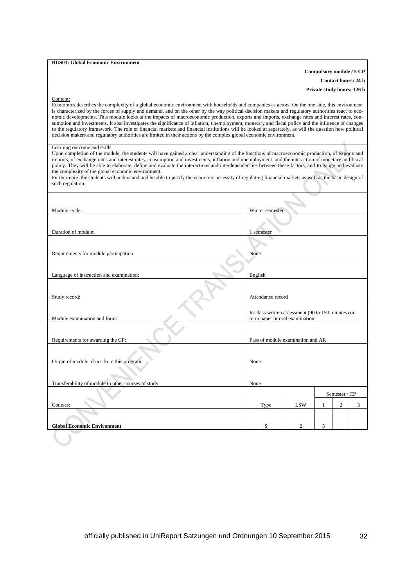### **BUS03: Global Economic Environment**

## **Compulsory module / 5 CP**

**Contact hours: 24 h**

**Private study hours: 126 h**

#### Content:

Economics describes the complexity of a global economic environment with households and companies as actors. On the one side, this environment is characterized by the forces of supply and demand, and on the other by the way political decision makers and regulatory authorities react to economic developments. This module looks at the impacts of macroeconomic production, exports and imports, exchange rates and interest rates, consumption and investments. It also investigates the significance of inflation, unemployment, monetary and fiscal policy and the influence of changes to the regulatory framework. The role of financial markets and financial institutions will be looked at separately, as will the question how political decision makers and regulatory authorities are limited in their actions by the complex global economic environment.

## Learning outcome and skills:

Upon completion of the module, the students will have gained a clear understanding of the functions of macroeconomic production, of exports and imports, of exchange rates and interest rates, consumption and investments, inflation and unemployment, and the interaction of monetary and fiscal policy. They will be able to elaborate, define and evaluate the interactions and interdependencies between these factors, and to gauge and evaluate the complexity of the global economic environment.

| Furthermore, the students will understand and be able to justify the economic necessity of regulating financial markets as well as the basic design of |  |
|--------------------------------------------------------------------------------------------------------------------------------------------------------|--|
| such regulation.                                                                                                                                       |  |

| Module cycle:                                        | Winter semester                                                                      |                |   |                |   |
|------------------------------------------------------|--------------------------------------------------------------------------------------|----------------|---|----------------|---|
|                                                      |                                                                                      |                |   |                |   |
| Duration of module:                                  | 1 semester                                                                           |                |   |                |   |
| Requirements for module participation:               | None                                                                                 |                |   |                |   |
|                                                      |                                                                                      |                |   |                |   |
| Language of instruction and examination:             | English                                                                              |                |   |                |   |
| Study record:                                        | Attendance record                                                                    |                |   |                |   |
|                                                      |                                                                                      |                |   |                |   |
| Module examination and form:                         | In-class written assessment (90 to 150 minutes) or<br>term paper or oral examination |                |   |                |   |
|                                                      |                                                                                      |                |   |                |   |
| Requirements for awarding the CP:                    | Pass of module examination and AR                                                    |                |   |                |   |
| Origin of module, if not from this program:          | None                                                                                 |                |   |                |   |
|                                                      |                                                                                      |                |   |                |   |
| Transferability of module to other courses of study: | None                                                                                 |                |   |                |   |
|                                                      | Semester / CP                                                                        |                |   |                |   |
| Courses:                                             | Type                                                                                 | <b>LSW</b>     | 1 | $\mathfrak{2}$ | 3 |
|                                                      |                                                                                      |                |   |                |   |
| <b>Global Economic Environment</b>                   | S                                                                                    | $\overline{2}$ | 5 |                |   |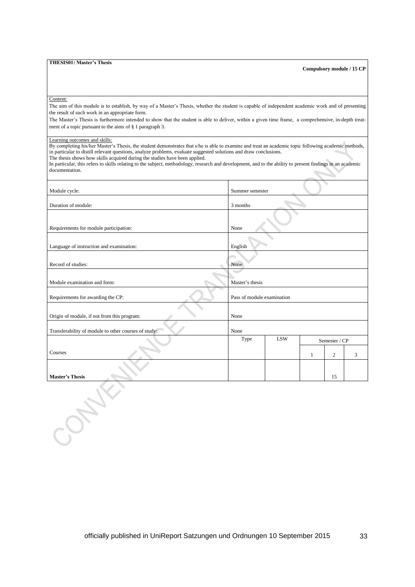### **THESIS01: Master's Thesis**

**Compulsory module / 15 CP**

### Content:

The aim of this module is to establish, by way of a Master's Thesis, whether the student is capable of independent academic work and of presenting the result of such work in an appropriate form.

The Master's Thesis is furthermore intended to show that the student is able to deliver, within a given time frame, a comprehensive, in-depth treatment of a topic pursuant to the aims of § 1 paragraph 3.

## Learning outcomes and skills:

By completing his/her Master's Thesis, the student demonstrates that s/he is able to examine and treat an academic topic following academic methods, in particular to distill relevant questions, analyze problems, evaluate suggested solutions and draw conclusions.

The thesis shows how skills acquired during the studies have been applied.

In particular, this refers to skills relating to the subject, methodology, research and development, and to the ability to present findings in an academic documentation.  $\overline{\phantom{a}}$ 

| Module cycle:                                        | Summer semester            |              |   |               |   |
|------------------------------------------------------|----------------------------|--------------|---|---------------|---|
| Duration of module:                                  | 3 months                   |              |   |               |   |
|                                                      |                            |              |   |               |   |
| Requirements for module participation:               | None                       |              |   |               |   |
| Language of instruction and examination:             | English                    |              |   |               |   |
| Record of studies:                                   | None                       |              |   |               |   |
| Module examination and form:                         | Master's thesis            |              |   |               |   |
| Requirements for awarding the CP:                    | Pass of module examination |              |   |               |   |
| Origin of module, if not from this program:          | None                       |              |   |               |   |
| Transferability of module to other courses of study: | None                       |              |   |               |   |
|                                                      | Type                       | $_{\rm LSW}$ |   | Semester / CP |   |
| Courses                                              |                            |              | 1 | $\mathbf{2}$  | 3 |
|                                                      |                            |              |   |               |   |
| <b>Master's Thesis</b>                               |                            |              |   | 15            |   |
|                                                      |                            |              |   |               |   |